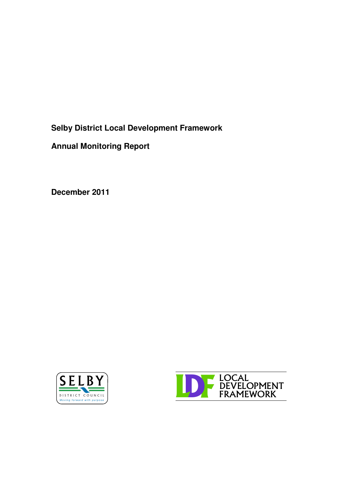**Selby District Local Development Framework**

**Annual Monitoring Report**

**December 2011**



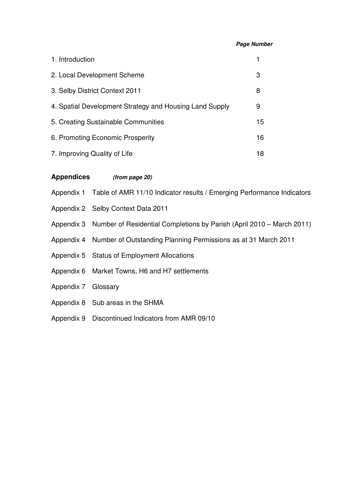#### *Page Number*

| 1. Introduction                                         |    |
|---------------------------------------------------------|----|
| 2. Local Development Scheme                             | 3  |
| 3. Selby District Context 2011                          | 8  |
| 4. Spatial Development Strategy and Housing Land Supply | 9  |
| 5. Creating Sustainable Communities                     | 15 |
| 6. Promoting Economic Prosperity                        | 16 |
| 7. Improving Quality of Life                            | 18 |

### **Appendices** *(from page 20)*

Appendix 1 Table of AMR 11/10 Indicator results / Emerging Performance Indicators

- Appendix 2 Selby Context Data 2011
- Appendix 3 Number of Residential Completions by Parish (April 2010 March 2011)
- Appendix 4 Number of Outstanding Planning Permissions as at 31 March 2011
- Appendix 5 Status of Employment Allocations
- Appendix 6 Market Towns, H6 and H7 settlements
- Appendix 7 Glossary
- Appendix 8 Sub areas in the SHMA
- Appendix 9 Discontinued Indicators from AMR 09/10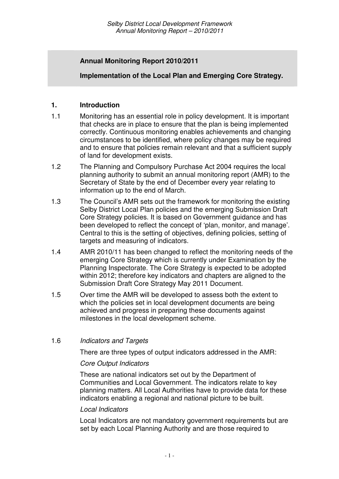## **Annual Monitoring Report 2010/2011**

### **Implementation of the Local Plan and Emerging Core Strategy.**

### **1. Introduction**

- 1.1 Monitoring has an essential role in policy development. It is important that checks are in place to ensure that the plan is being implemented correctly. Continuous monitoring enables achievements and changing circumstances to be identified, where policy changes may be required and to ensure that policies remain relevant and that a sufficient supply of land for development exists.
- 1.2 The Planning and Compulsory Purchase Act 2004 requires the local planning authority to submit an annual monitoring report (AMR) to the Secretary of State by the end of December every year relating to information up to the end of March.
- 1.3 The Council's AMR sets out the framework for monitoring the existing Selby District Local Plan policies and the emerging Submission Draft Core Strategy policies. It is based on Government guidance and has been developed to reflect the concept of 'plan, monitor, and manage'. Central to this is the setting of objectives, defining policies, setting of targets and measuring of indicators.
- 1.4 AMR 2010/11 has been changed to reflect the monitoring needs of the emerging Core Strategy which is currently under Examination by the Planning Inspectorate. The Core Strategy is expected to be adopted within 2012; therefore key indicators and chapters are aligned to the Submission Draft Core Strategy May 2011 Document.
- 1.5 Over time the AMR will be developed to assess both the extent to which the policies set in local development documents are being achieved and progress in preparing these documents against milestones in the local development scheme.

#### 1.6 *Indicators and Targets*

There are three types of output indicators addressed in the AMR:

#### *Core Output Indicators*

These are national indicators set out by the Department of Communities and Local Government. The indicators relate to key planning matters. All Local Authorities have to provide data for these indicators enabling a regional and national picture to be built.

#### *Local Indicators*

Local Indicators are not mandatory government requirements but are set by each Local Planning Authority and are those required to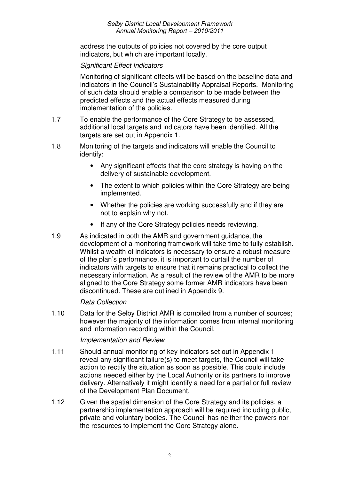address the outputs of policies not covered by the core output indicators, but which are important locally.

### *Significant Effect Indicators*

Monitoring of significant effects will be based on the baseline data and indicators in the Council's Sustainability Appraisal Reports. Monitoring of such data should enable a comparison to be made between the predicted effects and the actual effects measured during implementation of the policies.

- 1.7 To enable the performance of the Core Strategy to be assessed, additional local targets and indicators have been identified. All the targets are set out in Appendix 1.
- 1.8 Monitoring of the targets and indicators will enable the Council to identify:
	- Any significant effects that the core strategy is having on the delivery of sustainable development.
	- The extent to which policies within the Core Strategy are being implemented.
	- Whether the policies are working successfully and if they are not to explain why not.
	- If any of the Core Strategy policies needs reviewing.
- 1.9 As indicated in both the AMR and government guidance, the development of a monitoring framework will take time to fully establish. Whilst a wealth of indicators is necessary to ensure a robust measure of the plan's performance, it is important to curtail the number of indicators with targets to ensure that it remains practical to collect the necessary information. As a result of the review of the AMR to be more aligned to the Core Strategy some former AMR indicators have been discontinued. These are outlined in Appendix 9.

#### *Data Collection*

1.10 Data for the Selby District AMR is compiled from a number of sources; however the majority of the information comes from internal monitoring and information recording within the Council.

#### *Implementation and Review*

- 1.11 Should annual monitoring of key indicators set out in Appendix 1 reveal any significant failure(s) to meet targets, the Council will take action to rectify the situation as soon as possible. This could include actions needed either by the Local Authority or its partners to improve delivery. Alternatively it might identify a need for a partial or full review of the Development Plan Document.
- 1.12 Given the spatial dimension of the Core Strategy and its policies, a partnership implementation approach will be required including public, private and voluntary bodies. The Council has neither the powers nor the resources to implement the Core Strategy alone.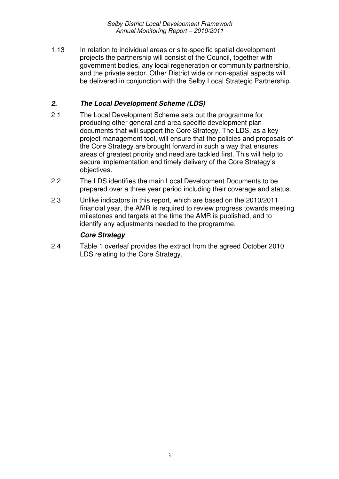1.13 In relation to individual areas or site-specific spatial development projects the partnership will consist of the Council, together with government bodies, any local regeneration or community partnership, and the private sector. Other District wide or non-spatial aspects will be delivered in conjunction with the Selby Local Strategic Partnership.

### *2. The Local Development Scheme (LDS)*

- 2.1 The Local Development Scheme sets out the programme for producing other general and area specific development plan documents that will support the Core Strategy. The LDS, as a key project management tool, will ensure that the policies and proposals of the Core Strategy are brought forward in such a way that ensures areas of greatest priority and need are tackled first. This will help to secure implementation and timely delivery of the Core Strategy's objectives.
- 2.2 The LDS identifies the main Local Development Documents to be prepared over a three year period including their coverage and status.
- 2.3 Unlike indicators in this report, which are based on the 2010/2011 financial year, the AMR is required to review progress towards meeting milestones and targets at the time the AMR is published, and to identify any adjustments needed to the programme.

### *Core Strategy*

2.4 Table 1 overleaf provides the extract from the agreed October 2010 LDS relating to the Core Strategy.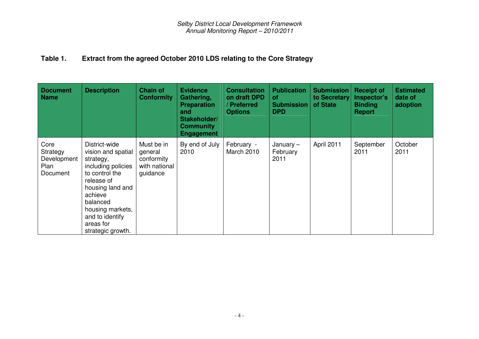#### **Table1. Extract from the agreed October 2010 LDS relating to the Core Strategy**

| <b>Document</b><br><b>Name</b>                      | <b>Description</b>                                                                                                                                                                                                         | <b>Chain of</b><br><b>Conformity</b>                             | <b>Evidence</b><br>Gathering,<br><b>Preparation</b><br>and<br>Stakeholder/<br><b>Community</b><br><b>Engagement</b> | <b>Consultation</b><br>on draft DPD<br>Preferred<br><b>Options</b> | <b>Publication</b><br><b>of</b><br><b>Submission</b><br><b>DPD</b> | <b>Submission</b><br>to Secretary<br>of State | <b>Receipt of</b><br>Inspector's<br><b>Binding</b><br><b>Report</b> | <b>Estimated</b><br>date of<br>adoption |
|-----------------------------------------------------|----------------------------------------------------------------------------------------------------------------------------------------------------------------------------------------------------------------------------|------------------------------------------------------------------|---------------------------------------------------------------------------------------------------------------------|--------------------------------------------------------------------|--------------------------------------------------------------------|-----------------------------------------------|---------------------------------------------------------------------|-----------------------------------------|
| Core<br>Strategy<br>Development<br>Plan<br>Document | District-wide<br>vision and spatial<br>strategy,<br>including policies<br>to control the<br>release of<br>housing land and<br>achieve<br>balanced<br>housing markets,<br>and to identify<br>areas for<br>strategic growth. | Must be in<br>general<br>conformity<br>with national<br>guidance | By end of July<br>2010                                                                                              | February -<br>March 2010                                           | January $-$<br>February<br>2011                                    | April 2011                                    | September<br>2011                                                   | October<br>2011                         |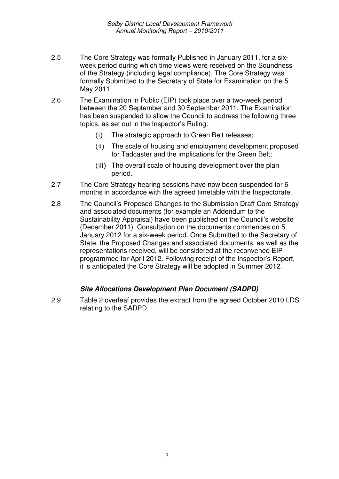- 2.5 The Core Strategy was formally Published in January 2011, for a sixweek period during which time views were received on the Soundness of the Strategy (including legal compliance). The Core Strategy was formally Submitted to the Secretary of State for Examination on the 5 May 2011.
- 2.6 The Examination in Public (EIP) took place over a two-week period between the 20 September and 30 September 2011. The Examination has been suspended to allow the Council to address the following three topics, as set out in the Inspector's Ruling:
	- $(i)$ The strategic approach to Green Belt releases;
	- ii) The scale of housing and employment development proposed for Tadcaster and the implications for the Green Belt;
	- (iii) The overall scale of housing development over the plan period.
- 2.7 The Core Strategy hearing sessions have now been suspended for 6 months in accordance with the agreed timetable with the Inspectorate.
- 2.8 The Council's Proposed Changes to the Submission Draft Core Strategy and associated documents (for example an Addendum to the Sustainability Appraisal) have been published on the Council's website (December 2011). Consultation on the documents commences on 5 January 2012 for a six-week period. Once Submitted to the Secretary of State, the Proposed Changes and associated documents, as well as the representations received, will be considered at the reconvened EIP programmed for April 2012. Following receipt of the Inspector's Report, it is anticipated the Core Strategy will be adopted in Summer 2012.

#### *Site Allocations Development Plan Document (SADPD)*

2.9 Table 2 overleaf provides the extract from the agreed October 2010 LDS relating to the SADPD.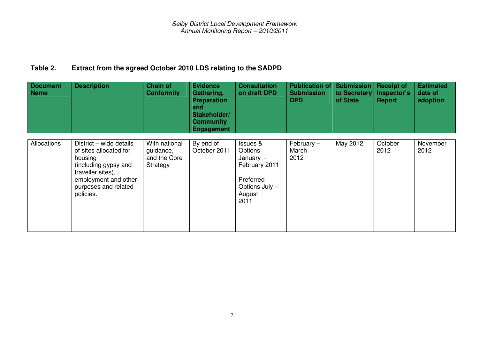#### **Table2. Extract from the agreed October 2010 LDS relating to the SADPD**

| <b>Document</b><br><b>Name</b> | <b>Description</b>                                                                                                                                                     | <b>Chain of</b><br><b>Conformity</b>                   | <b>Evidence</b><br>Gathering,<br><b>Preparation</b><br>and<br>Stakeholder/<br><b>Community</b><br><b>Engagement</b> | <b>Consultation</b><br>on draft DPD                                                                           | <b>Publication of</b><br><b>Submission</b><br><b>DPD</b> | <b>Submission</b><br>to Secretary<br>of State | <b>Receipt of</b><br>Inspector's<br><b>Report</b> | <b>Estimated</b><br>date of<br>adoption |
|--------------------------------|------------------------------------------------------------------------------------------------------------------------------------------------------------------------|--------------------------------------------------------|---------------------------------------------------------------------------------------------------------------------|---------------------------------------------------------------------------------------------------------------|----------------------------------------------------------|-----------------------------------------------|---------------------------------------------------|-----------------------------------------|
| Allocations                    | District - wide details<br>of sites allocated for<br>housing<br>(including gypsy and<br>traveller sites),<br>employment and other<br>purposes and related<br>policies. | With national<br>guidance,<br>and the Core<br>Strategy | By end of<br>October 2011                                                                                           | <b>Issues &amp;</b><br>Options<br>January -<br>February 2011<br>Preferred<br>Options July -<br>August<br>2011 | February $-$<br>March<br>2012                            | May 2012                                      | October<br>2012                                   | November<br>2012                        |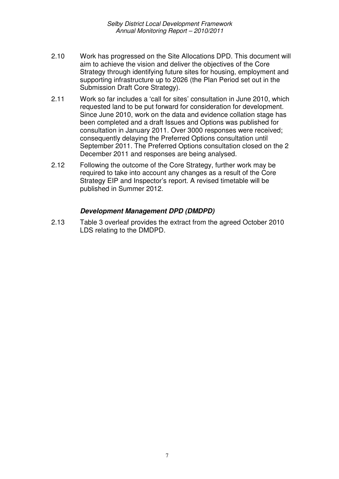- 2.10 Work has progressed on the Site Allocations DPD. This document will aim to achieve the vision and deliver the objectives of the Core Strategy through identifying future sites for housing, employment and supporting infrastructure up to 2026 (the Plan Period set out in the Submission Draft Core Strategy).
- 2.11 Work so far includes a 'call for sites' consultation in June 2010, which requested land to be put forward for consideration for development. Since June 2010, work on the data and evidence collation stage has been completed and a draft Issues and Options was published for consultation in January 2011. Over 3000 responses were received; consequently delaying the Preferred Options consultation until September 2011. The Preferred Options consultation closed on the 2 December 2011 and responses are being analysed.
- 2.12 Following the outcome of the Core Strategy, further work may be required to take into account any changes as a result of the Core Strategy EIP and Inspector's report. A revised timetable will be published in Summer 2012.

### *Development Management DPD (DMDPD)*

2.13 Table 3 overleaf provides the extract from the agreed October 2010 LDS relating to the DMDPD.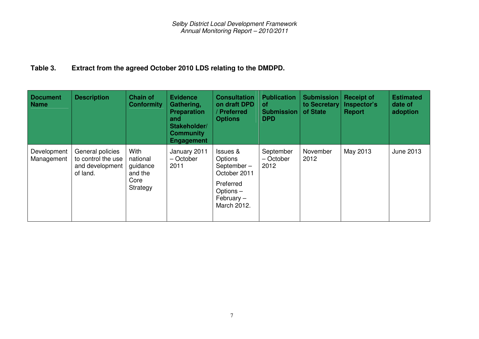#### **Table3. Extract from the agreed October 2010 LDS relating to the DMDPD.**

| <b>Document</b><br><b>Name</b> | <b>Description</b>                                                    | <b>Chain of</b><br><b>Conformity</b>                        | <b>Evidence</b><br>Gathering,<br><b>Preparation</b><br>and<br>Stakeholder/<br><b>Community</b><br><b>Engagement</b> | <b>Consultation</b><br>on draft DPD<br>/ Preferred<br><b>Options</b>                                   | <b>Publication</b><br><b>of</b><br><b>Submission</b><br><b>DPD</b> | <b>Submission</b><br>to Secretary<br>of State | <b>Receipt of</b><br>Inspector's<br><b>Report</b> | <b>Estimated</b><br>date of<br>adoption |
|--------------------------------|-----------------------------------------------------------------------|-------------------------------------------------------------|---------------------------------------------------------------------------------------------------------------------|--------------------------------------------------------------------------------------------------------|--------------------------------------------------------------------|-----------------------------------------------|---------------------------------------------------|-----------------------------------------|
| Development<br>Management      | General policies<br>to control the use<br>and development<br>of land. | With<br>national<br>guidance<br>and the<br>Core<br>Strategy | January 2011<br>- October<br>2011                                                                                   | Issues &<br>Options<br>September-<br>October 2011<br>Preferred<br>Options-<br>February-<br>March 2012. | September<br>- October<br>2012                                     | November<br>2012                              | May 2013                                          | <b>June 2013</b>                        |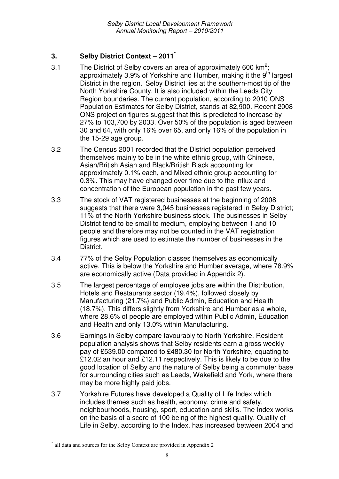# **3. Selby District Context – 2011 \***

- 3.1 The District of Selby covers an area of approximately 600 km<sup>2</sup>; approximately 3.9% of Yorkshire and Humber, making it the 9<sup>th</sup> largest District in the region. Selby District lies at the southern-most tip of the North Yorkshire County. It is also included within the Leeds City Region boundaries. The current population, according to 2010 ONS Population Estimates for Selby District, stands at 82,900. Recent 2008 ONS projection figures suggest that this is predicted to increase by 27% to 103,700 by 2033. Over 50% of the population is aged between 30 and 64, with only 16% over 65, and only 16% of the population in the 15-29 age group.
- 3.2 The Census 2001 recorded that the District population perceived themselves mainly to be in the white ethnic group, with Chinese, Asian/British Asian and Black/British Black accounting for approximately 0.1% each, and Mixed ethnic group accounting for 0.3%. This may have changed over time due to the influx and concentration of the European population in the past few years.
- 3.3 The stock of VAT registered businesses at the beginning of 2008 suggests that there were 3,045 businesses registered in Selby District; 11% of the North Yorkshire business stock. The businesses in Selby District tend to be small to medium, employing between 1 and 10 people and therefore may not be counted in the VAT registration figures which are used to estimate the number of businesses in the District.
- 3.4 77% of the Selby Population classes themselves as economically active. This is below the Yorkshire and Humber average, where 78.9% are economically active (Data provided in Appendix 2).
- 3.5 The largest percentage of employee jobs are within the Distribution, Hotels and Restaurants sector (19.4%), followed closely by Manufacturing (21.7%) and Public Admin, Education and Health (18.7%). This differs slightly from Yorkshire and Humber as a whole, where 28.6% of people are employed within Public Admin, Education and Health and only 13.0% within Manufacturing.
- 3.6 Earnings in Selby compare favourably to North Yorkshire. Resident population analysis shows that Selby residents earn a gross weekly pay of £539.00 compared to £480.30 for North Yorkshire, equating to £12.02 an hour and £12.11 respectively. This is likely to be due to the good location of Selby and the nature of Selby being a commuter base for surrounding cities such as Leeds, Wakefield and York, where there may be more highly paid jobs.
- 3.7 Yorkshire Futures have developed a Quality of Life Index which includes themes such as health, economy, crime and safety, neighbourhoods, housing, sport, education and skills. The Index works on the basis of a score of 100 being of the highest quality. Quality of Life in Selby, according to the Index, has increased between 2004 and

<sup>\*</sup> all data and sources for the Selby Context are provided in Appendix 2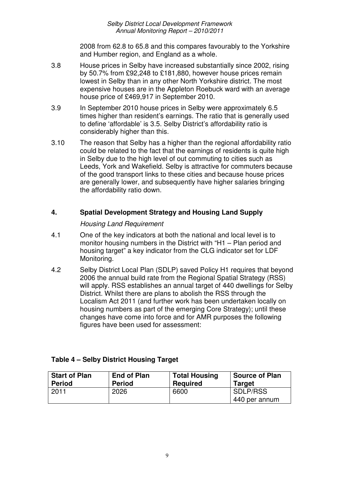2008 from 62.8 to 65.8 and this compares favourably to the Yorkshire and Humber region, and England as a whole.

- 3.8 House prices in Selby have increased substantially since 2002, rising by 50.7% from £92,248 to £181,880, however house prices remain lowest in Selby than in any other North Yorkshire district. The most expensive houses are in the Appleton Roebuck ward with an average house price of £469,917 in September 2010.
- 3.9 In September 2010 house prices in Selby were approximately 6.5 times higher than resident's earnings. The ratio that is generally used to define 'affordable' is 3.5. Selby District's affordability ratio is considerably higher than this.
- 3.10 The reason that Selby has a higher than the regional affordability ratio could be related to the fact that the earnings of residents is quite high in Selby due to the high level of out commuting to cities such as Leeds, York and Wakefield. Selby is attractive for commuters because of the good transport links to these cities and because house prices are generally lower, and subsequently have higher salaries bringing the affordability ratio down.

## **4. Spatial Development Strategy and Housing Land Supply**

### *Housing Land Requirement*

- 4.1 One of the key indicators at both the national and local level is to monitor housing numbers in the District with "H1 – Plan period and housing target" a key indicator from the CLG indicator set for LDF Monitoring.
- 4.2 Selby District Local Plan (SDLP) saved Policy H1 requires that beyond 2006 the annual build rate from the Regional Spatial Strategy (RSS) will apply. RSS establishes an annual target of 440 dwellings for Selby District. Whilst there are plans to abolish the RSS through the Localism Act 2011 (and further work has been undertaken locally on housing numbers as part of the emerging Core Strategy); until these changes have come into force and for AMR purposes the following figures have been used for assessment:

| <b>Start of Plan</b> | <b>End of Plan</b> | <b>Total Housing</b> | <b>Source of Plan</b>     |
|----------------------|--------------------|----------------------|---------------------------|
| <b>Period</b>        | <b>Period</b>      | <b>Required</b>      | <b>Target</b>             |
| 2011                 | 2026               | 6600                 | SDLP/RSS<br>440 per annum |

## **Table 4 – Selby District Housing Target**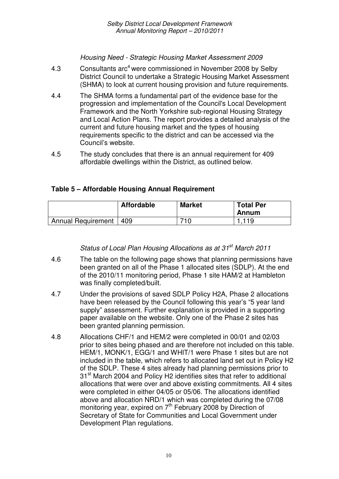*Housing Need - Strategic Housing Market Assessment 2009*

- 4.3 Consultants arc<sup>4</sup> were commissioned in November 2008 by Selby District Council to undertake a Strategic Housing Market Assessment (SHMA) to look at current housing provision and future requirements.
- 4.4 The SHMA forms a fundamental part of the evidence base for the progression and implementation of the Council's Local Development Framework and the North Yorkshire sub-regional Housing Strategy and Local Action Plans. The report provides a detailed analysis of the current and future housing market and the types of housing requirements specific to the district and can be accessed via the Council's website.
- 4.5 The study concludes that there is an annual requirement for 409 affordable dwellings within the District, as outlined below.

## **Table 5 – Affordable Housing Annual Requirement**

|                          | <b>Affordable</b> | <b>Market</b> | <b>Total Per</b><br>Annum |
|--------------------------|-------------------|---------------|---------------------------|
| Annual Requirement   409 |                   | 710           | 1.119                     |

*Status of Local Plan Housing Allocations as at 31 st March 2011*

- 4.6 The table on the following page shows that planning permissions have been granted on all of the Phase 1 allocated sites (SDLP). At the end of the 2010/11 monitoring period, Phase 1 site HAM/2 at Hambleton was finally completed/built.
- 4.7 Under the provisions of saved SDLP Policy H2A, Phase 2 allocations have been released by the Council following this year's "5 year land supply" assessment. Further explanation is provided in a supporting paper available on the website. Only one of the Phase 2 sites has been granted planning permission.
- 4.8 Allocations CHF/1 and HEM/2 were completed in 00/01 and 02/03 prior to sites being phased and are therefore not included on this table. HEM/1, MONK/1, EGG/1 and WHIT/1 were Phase 1 sites but are not included in the table, which refers to allocated land set out in Policy H2 of the SDLP. These 4 sites already had planning permissions prior to 31<sup>st</sup> March 2004 and Policy H2 identifies sites that refer to additional allocations that were over and above existing commitments. All 4 sites were completed in either 04/05 or 05/06. The allocations identified above and allocation NRD/1 which was completed during the 07/08 monitoring year, expired on 7<sup>th</sup> February 2008 by Direction of Secretary of State for Communities and Local Government under Development Plan regulations.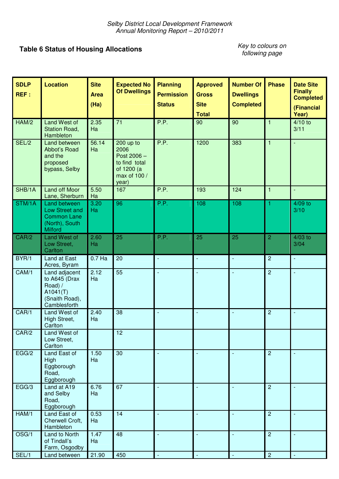# **Table 6 Status of Housing Allocations**

*Key to colours on following page*

| <b>SDLP</b><br>REF: | <b>Location</b>                                                                          | <b>Site</b><br><b>Area</b><br>(Ha) | <b>Expected No</b><br><b>Of Dwellings</b>                                                | <b>Planning</b><br><b>Permission</b><br><b>Status</b> | <b>Approved</b><br><b>Gross</b><br><b>Site</b><br><b>Total</b> | <b>Number Of</b><br><b>Dwellings</b><br><b>Completed</b> | <b>Phase</b>   | <b>Date Site</b><br><b>Finally</b><br><b>Completed</b><br>(Financial<br>Year) |
|---------------------|------------------------------------------------------------------------------------------|------------------------------------|------------------------------------------------------------------------------------------|-------------------------------------------------------|----------------------------------------------------------------|----------------------------------------------------------|----------------|-------------------------------------------------------------------------------|
| HAM/2               | Land West of<br>Station Road,<br>Hambleton                                               | 2.35<br>Ha                         | 71                                                                                       | P.P.                                                  | 90                                                             | 90                                                       | $\mathbf{1}$   | $4/10$ to<br>3/11                                                             |
| SEL/2               | Land between<br>Abbot's Road<br>and the<br>proposed<br>bypass, Selby                     | 56.14<br>Ha                        | 200 up to<br>2006<br>Post 2006 -<br>to find total<br>of 1200 (a<br>max of 100 /<br>year) | P.P.                                                  | 1200                                                           | 383                                                      | $\mathbf{1}$   | $\Box$                                                                        |
| SHB/1A              | <b>Land off Moor</b><br>Lane, Sherburn                                                   | 5.50<br>Ha                         | 167                                                                                      | P.P.                                                  | 193                                                            | 124                                                      | $\mathbf{1}$   | Ξ                                                                             |
| STM/1A              | Land between<br>Low Street and<br><b>Common Lane</b><br>(North), South<br><b>Milford</b> | 3.20<br>Ha                         | 96                                                                                       | P.P.                                                  | 108                                                            | 108                                                      | 1              | $4/09$ to<br>3/10                                                             |
| CAR/2               | Land West of<br>Low Street,<br>Carlton                                                   | 2.60<br>Ha                         | 25                                                                                       | P.P.                                                  | 25                                                             | 25                                                       | $\overline{2}$ | $4/03$ to<br>3/04                                                             |
| BYR/1               | Land at East<br>Acres, Byram                                                             | $0.7$ Ha                           | 20                                                                                       | $\Box$                                                | $\Box$                                                         | $\blacksquare$                                           | $\overline{2}$ | $\blacksquare$                                                                |
| CAM/1               | Land adjacent<br>to A645 (Drax<br>Road) /<br>A1041(T)<br>(Snaith Road),<br>Camblesforth  | 2.12<br>Ha                         | 55                                                                                       |                                                       | $\Box$                                                         | L,                                                       | $\overline{2}$ | L,                                                                            |
| CAR/1               | Land West of<br>High Street,<br>Carlton                                                  | 2.40<br>Ha                         | 38                                                                                       | ÷,                                                    | $\mathbb{L}$                                                   | L,                                                       | $\overline{2}$ | $\overline{\phantom{a}}$                                                      |
| CAR/2               | Land West of<br>Low Street,<br>Carlton                                                   |                                    | 12                                                                                       |                                                       |                                                                |                                                          |                |                                                                               |
| EGG/2               | Land East of<br>High<br>Eggborough<br>Road,<br>Eggborough                                | 1.50<br>Ha                         | 30                                                                                       |                                                       | $\mathcal{L}_{\mathcal{A}}$                                    | $\blacksquare$                                           | $\overline{2}$ | $\overline{\phantom{a}}$                                                      |
| EGG/3               | Land at A19<br>and Selby<br>Road,<br>Eggborough                                          | 6.76<br>Ha                         | 67                                                                                       |                                                       |                                                                |                                                          | $\overline{2}$ |                                                                               |
| HAM/1               | Land East of<br>Cherwell Croft,<br>Hambleton                                             | 0.53<br>Ha                         | 14                                                                                       |                                                       |                                                                |                                                          | $\overline{2}$ |                                                                               |
| OSG/1               | Land to North<br>of Tindall's<br>Farm, Osgodby                                           | 1.47<br>Ha                         | 48                                                                                       |                                                       |                                                                |                                                          | $\overline{2}$ |                                                                               |
| SEL/1               | Land between                                                                             | 21.90                              | 450                                                                                      |                                                       | $\blacksquare$                                                 |                                                          | $\overline{c}$ | $\overline{\phantom{a}}$                                                      |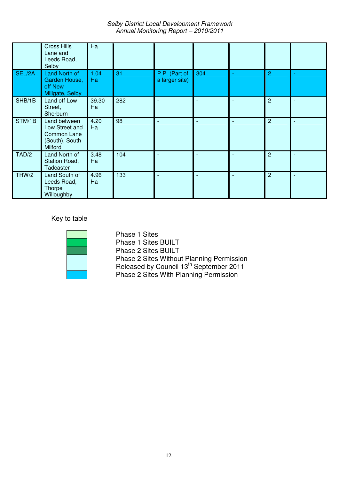*Selby District Local Development Framework Annual Monitoring Report – 2010/2011*

|        | <b>Cross Hills</b><br>Lane and<br>Leeds Road,<br>Selby                     | Ha          |     |                                 |     |                |  |
|--------|----------------------------------------------------------------------------|-------------|-----|---------------------------------|-----|----------------|--|
| SEL/2A | <b>Land North of</b><br>Garden House,<br>off New<br>Millgate, Selby        | 1.04<br>Ha  | 31  | P.P. (Part of<br>a larger site) | 304 | 2              |  |
| SHB/1B | Land off Low<br>Street,<br>Sherburn                                        | 39.30<br>Ha | 282 | $\sim$                          |     | $\overline{c}$ |  |
| STM/1B | Land between<br>Low Street and<br>Common Lane<br>(South), South<br>Milford | 4.20<br>Ha  | 98  | ۰                               |     | $\overline{2}$ |  |
| TAD/2  | Land North of<br>Station Road,<br><b>Tadcaster</b>                         | 3.48<br>Ha  | 104 |                                 |     | $\overline{c}$ |  |
| THW/2  | Land South of<br>Leeds Road,<br>Thorpe<br>Willoughby                       | 4.96<br>Ha  | 133 |                                 |     | 2              |  |

Key to table

÷.

Phase 1 Sites Phase 1 Sites BUILT Phase 2 Sites BUILT Phase 2 Sites Without Planning Permission Released by Council 13<sup>th</sup> September 2011 Phase 2 Sites With Planning Permission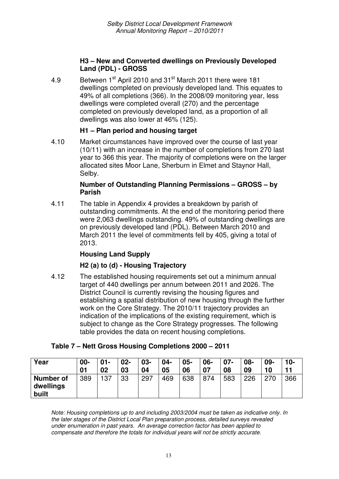#### **H3 – New and Converted dwellings on Previously Developed Land (PDL) - GROSS**

4.9 Between 1<sup>st</sup> April 2010 and 31<sup>st</sup> March 2011 there were 181 dwellings completed on previously developed land. This equates to 49% of all completions (366). In the 2008/09 monitoring year, less dwellings were completed overall (270) and the percentage completed on previously developed land, as a proportion of all dwellings was also lower at 46% (125).

#### **H1 – Plan period and housing target**

4.10 Market circumstances have improved over the course of last year (10/11) with an increase in the number of completions from 270 last year to 366 this year. The majority of completions were on the larger allocated sites Moor Lane, Sherburn in Elmet and Staynor Hall, Selby.

#### **Number of Outstanding Planning Permissions – GROSS – by Parish**

4.11 The table in Appendix 4 provides a breakdown by parish of outstanding commitments. At the end of the monitoring period there were 2,063 dwellings outstanding. 49% of outstanding dwellings are on previously developed land (PDL). Between March 2010 and March 2011 the level of commitments fell by 405, giving a total of 2013.

#### **Housing Land Supply**

#### **H2 (a) to (d) - Housing Trajectory**

4.12 The established housing requirements set out a minimum annual target of 440 dwellings per annum between 2011 and 2026. The District Council is currently revising the housing figures and establishing a spatial distribution of new housing through the further work on the Core Strategy. The 2010/11 trajectory provides an indication of the implications of the existing requirement, which is subject to change as the Core Strategy progresses. The following table provides the data on recent housing completions.

| Year                                   | $00 -$<br>01 | $01 -$<br>02 | $02 -$<br>03 | 03-<br>04 | $04 -$<br>05 | $05 -$<br>06 | 06-<br>07 | $07 -$<br>08 | 08-<br>09 | 09-<br>10 | $10 -$ |
|----------------------------------------|--------------|--------------|--------------|-----------|--------------|--------------|-----------|--------------|-----------|-----------|--------|
| <b>Number of</b><br>dwellings<br>built | 389          | 137          | 33           | 297       | 469          | 638          | 874       | 583          | 226       | 270       | 366    |

#### **Table 7 – Nett Gross Housing Completions 2000 – 2011**

*Note: Housing completions up to and including 2003/2004 must be taken as indicative only. In the later stages of the District Local Plan preparation process, detailed surveys revealed under enumeration in past years. An average correction factor has been applied to compensate and therefore the totals for individual years will not be strictly accurate.*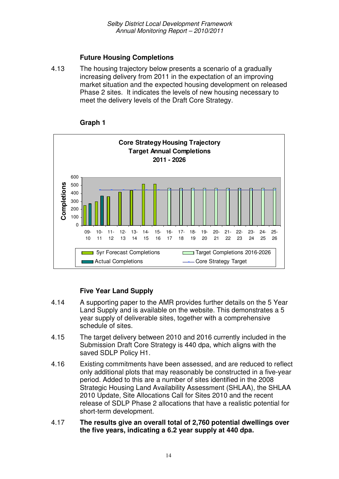## **Future Housing Completions**

4.13 The housing trajectory below presents a scenario of a gradually increasing delivery from 2011 in the expectation of an improving market situation and the expected housing development on released Phase 2 sites. It indicates the levels of new housing necessary to meet the delivery levels of the Draft Core Strategy.



#### **Graph 1**

# **Five Year Land Supply**

- 4.14 A supporting paper to the AMR provides further details on the 5 Year Land Supply and is available on the website. This demonstrates a 5 year supply of deliverable sites, together with a comprehensive schedule of sites.
- 4.15 The target delivery between 2010 and 2016 currently included in the Submission Draft Core Strategy is 440 dpa, which aligns with the saved SDLP Policy H1.
- 4.16 Existing commitments have been assessed, and are reduced to reflect only additional plots that may reasonably be constructed in a five-year period. Added to this are a number of sites identified in the 2008 Strategic Housing Land Availability Assessment (SHLAA), the SHLAA 2010 Update, Site Allocations Call for Sites 2010 and the recent release of SDLP Phase 2 allocations that have a realistic potential for short-term development.
- 4.17 **The results give an overall total of 2,760 potential dwellings over the five years, indicating a 6.2 year supply at 440 dpa.**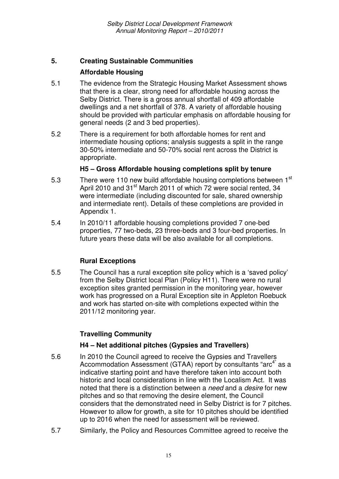# **5. Creating Sustainable Communities**

# **Affordable Housing**

- 5.1 The evidence from the Strategic Housing Market Assessment shows that there is a clear, strong need for affordable housing across the Selby District. There is a gross annual shortfall of 409 affordable dwellings and a net shortfall of 378. A variety of affordable housing should be provided with particular emphasis on affordable housing for general needs (2 and 3 bed properties).
- 5.2 There is a requirement for both affordable homes for rent and intermediate housing options; analysis suggests a split in the range 30-50% intermediate and 50-70% social rent across the District is appropriate.

## **H5 – Gross Affordable housing completions split by tenure**

- 5.3 There were 110 new build affordable housing completions between  $1<sup>st</sup>$ April 2010 and 31<sup>st</sup> March 2011 of which 72 were social rented, 34 were intermediate (including discounted for sale, shared ownership and intermediate rent). Details of these completions are provided in Appendix 1.
- 5.4 In 2010/11 affordable housing completions provided 7 one-bed properties, 77 two-beds, 23 three-beds and 3 four-bed properties. In future years these data will be also available for all completions.

## **Rural Exceptions**

5.5 The Council has a rural exception site policy which is a 'saved policy' from the Selby District local Plan (Policy H11). There were no rural exception sites granted permission in the monitoring year, however work has progressed on a Rural Exception site in Appleton Roebuck and work has started on-site with completions expected within the 2011/12 monitoring year.

# **Travelling Community**

## **H4 – Net additional pitches (Gypsies and Travellers)**

- 5.6 In 2010 the Council agreed to receive the Gypsies and Travellers Accommodation Assessment (GTAA) report by consultants "arc<sup>4"</sup> as a indicative starting point and have therefore taken into account both historic and local considerations in line with the Localism Act. It was noted that there is a distinction between a *need* and a *desire* for new pitches and so that removing the desire element, the Council considers that the demonstrated need in Selby District is for 7 pitches. However to allow for growth, a site for 10 pitches should be identified up to 2016 when the need for assessment will be reviewed.
- 5.7 Similarly, the Policy and Resources Committee agreed to receive the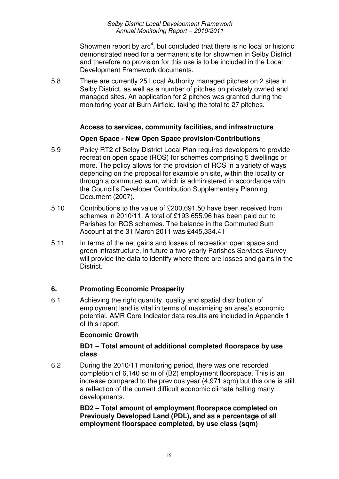Showmen report by arc<sup>4</sup>, but concluded that there is no local or historic demonstrated need for a permanent site for showmen in Selby District and therefore no provision for this use is to be included in the Local Development Framework documents.

5.8 There are currently 25 Local Authority managed pitches on 2 sites in Selby District, as well as a number of pitches on privately owned and managed sites. An application for 2 pitches was granted during the monitoring year at Burn Airfield, taking the total to 27 pitches.

### **Access to services, community facilities, and infrastructure**

### **Open Space - New Open Space provision/Contributions**

- 5.9 Policy RT2 of Selby District Local Plan requires developers to provide recreation open space (ROS) for schemes comprising 5 dwellings or more. The policy allows for the provision of ROS in a variety of ways depending on the proposal for example on site, within the locality or through a commuted sum, which is administered in accordance with the Council's Developer Contribution Supplementary Planning Document (2007).
- 5.10 Contributions to the value of £200,691.50 have been received from schemes in 2010/11. A total of £193,655.96 has been paid out to Parishes for ROS schemes. The balance in the Commuted Sum Account at the 31 March 2011 was £445,334.41
- 5.11 In terms of the net gains and losses of recreation open space and green infrastructure, in future a two-yearly Parishes Services Survey will provide the data to identify where there are losses and gains in the **District.**

## **6. Promoting Economic Prosperity**

6.1 Achieving the right quantity, quality and spatial distribution of employment land is vital in terms of maximising an area's economic potential. AMR Core Indicator data results are included in Appendix 1 of this report.

#### **Economic Growth**

### **BD1 – Total amount of additional completed floorspace by use class**

6.2 During the 2010/11 monitoring period, there was one recorded completion of 6,140 sq m of (B2) employment floorspace. This is an increase compared to the previous year (4,971 sqm) but this one is still a reflection of the current difficult economic climate halting many developments.

> **BD2 – Total amount of employment floorspace completed on Previously Developed Land (PDL), and as a percentage of all employment floorspace completed, by use class (sqm)**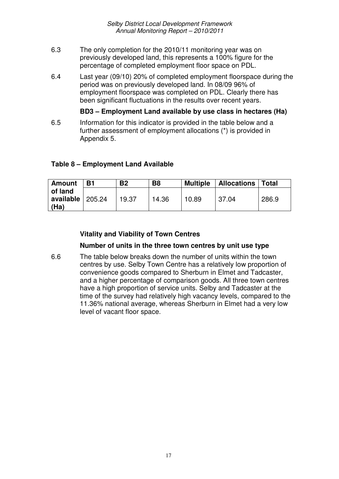- 6.3 The only completion for the 2010/11 monitoring year was on previously developed land, this represents a 100% figure for the percentage of completed employment floor space on PDL.
- 6.4 Last year (09/10) 20% of completed employment floorspace during the period was on previously developed land. In 08/09 96% of employment floorspace was completed on PDL. Clearly there has been significant fluctuations in the results over recent years.

**BD3 – Employment Land available by use class in hectares (Ha)**

6.5 Information for this indicator is provided in the table below and a further assessment of employment allocations (\*) is provided in Appendix 5.

#### **Table 8 – Employment Land Available**

| <b>Amount</b>                | Β1     | <b>B2</b> | B <sub>8</sub> | <b>Multiple</b> | <b>Allocations</b> | <b>Total</b> |
|------------------------------|--------|-----------|----------------|-----------------|--------------------|--------------|
| of land<br>available<br>(Ha) | 205.24 | 19.37     | 14.36          | 10.89           | 37.04              | 286.9        |

### **Vitality and Viability of Town Centres**

#### **Number of units in the three town centres by unit use type**

6.6 The table below breaks down the number of units within the town centres by use. Selby Town Centre has a relatively low proportion of convenience goods compared to Sherburn in Elmet and Tadcaster, and a higher percentage of comparison goods. All three town centres have a high proportion of service units. Selby and Tadcaster at the time of the survey had relatively high vacancy levels, compared to the 11.36% national average, whereas Sherburn in Elmet had a very low level of vacant floor space.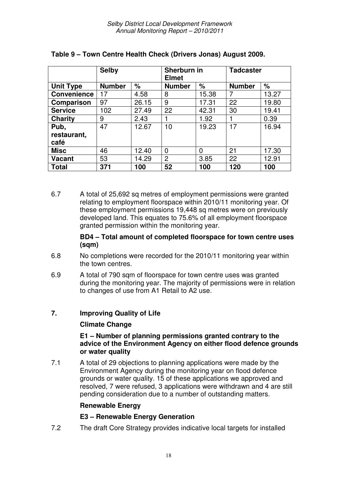|                    | <b>Selby</b>  |       | Sherburn in<br><b>Elmet</b> |       | <b>Tadcaster</b> |       |  |
|--------------------|---------------|-------|-----------------------------|-------|------------------|-------|--|
| <b>Unit Type</b>   | <b>Number</b> | %     | <b>Number</b>               | $\%$  | <b>Number</b>    | %     |  |
| <b>Convenience</b> | 17            | 4.58  | 8                           | 15.38 | 7                | 13.27 |  |
| <b>Comparison</b>  | 97            | 26.15 | 9                           | 17.31 | 22               | 19.80 |  |
| <b>Service</b>     | 102           | 27.49 | 22                          | 42.31 | 30               | 19.41 |  |
| Charity            | 9             | 2.43  | 1                           | 1.92  |                  | 0.39  |  |
| Pub,               | 47            | 12.67 | 10                          | 19.23 | 17               | 16.94 |  |
| restaurant,        |               |       |                             |       |                  |       |  |
| café               |               |       |                             |       |                  |       |  |
| <b>Misc</b>        | 46            | 12.40 | $\overline{0}$              | 0     | 21               | 17.30 |  |
| <b>Vacant</b>      | 53            | 14.29 | $\overline{2}$              | 3.85  | 22               | 12.91 |  |
| Total              | 371           | 100   | 52                          | 100   | 120              | 100   |  |

## **Table 9 – Town Centre Health Check (Drivers Jonas) August 2009.**

6.7 A total of 25,692 sq metres of employment permissions were granted relating to employment floorspace within 2010/11 monitoring year. Of these employment permissions 19,448 sq metres were on previously developed land. This equates to 75.6% of all employment floorspace granted permission within the monitoring year.

### **BD4 – Total amount of completed floorspace for town centre uses (sqm)**

- 6.8 No completions were recorded for the 2010/11 monitoring year within the town centres.
- 6.9 A total of 790 sqm of floorspace for town centre uses was granted during the monitoring year. The majority of permissions were in relation to changes of use from A1 Retail to A2 use.

## **7. Improving Quality of Life**

## **Climate Change**

### **E1 – Number of planning permissions granted contrary to the advice of the Environment Agency on either flood defence grounds or water quality**

7.1 A total of 29 objections to planning applications were made by the Environment Agency during the monitoring year on flood defence grounds or water quality. 15 of these applications we approved and resolved, 7 were refused, 3 applications were withdrawn and 4 are still pending consideration due to a number of outstanding matters.

## **Renewable Energy**

## **E3 – Renewable Energy Generation**

7.2 The draft Core Strategy provides indicative local targets for installed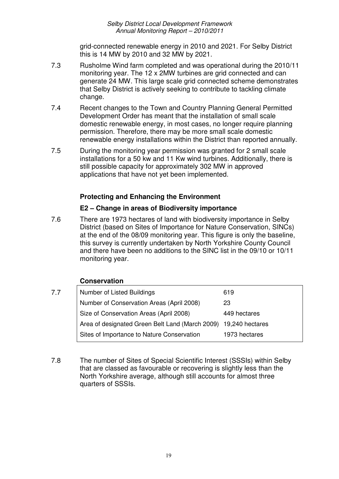grid-connected renewable energy in 2010 and 2021. For Selby District this is 14 MW by 2010 and 32 MW by 2021.

- 7.3 Rusholme Wind farm completed and was operational during the 2010/11 monitoring year. The 12 x 2MW turbines are grid connected and can generate 24 MW. This large scale grid connected scheme demonstrates that Selby District is actively seeking to contribute to tackling climate change.
- 7.4 Recent changes to the Town and Country Planning General Permitted Development Order has meant that the installation of small scale domestic renewable energy, in most cases, no longer require planning permission. Therefore, there may be more small scale domestic renewable energy installations within the District than reported annually.
- 7.5 During the monitoring year permission was granted for 2 small scale installations for a 50 kw and 11 Kw wind turbines. Additionally, there is still possible capacity for approximately 302 MW in approved applications that have not yet been implemented.

## **Protecting and Enhancing the Environment**

## **E2 – Change in areas of Biodiversity importance**

7.6 There are 1973 hectares of land with biodiversity importance in Selby District (based on Sites of Importance for Nature Conservation, SINCs) at the end of the 08/09 monitoring year. This figure is only the baseline, this survey is currently undertaken by North Yorkshire County Council and there have been no additions to the SINC list in the 09/10 or 10/11 monitoring year.

## **Conservation**

- 7.7 Number of Listed Buildings **619** Number of Conservation Areas (April 2008) 23 Size of Conservation Areas (April 2008) 449 hectares Area of designated Green Belt Land (March 2009) 19,240 hectares Sites of Importance to Nature Conservation 1973 hectares
- 7.8 The number of Sites of Special Scientific Interest (SSSIs) within Selby that are classed as favourable or recovering is slightly less than the North Yorkshire average, although still accounts for almost three quarters of SSSIs.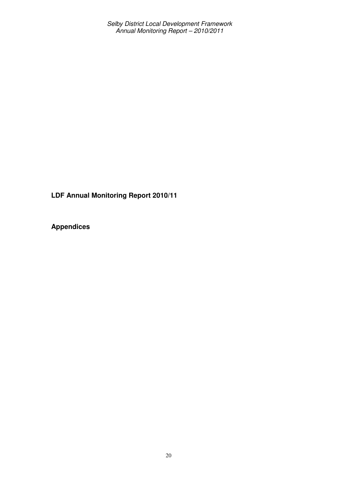**LDF Annual Monitoring Report 2010/11**

**Appendices**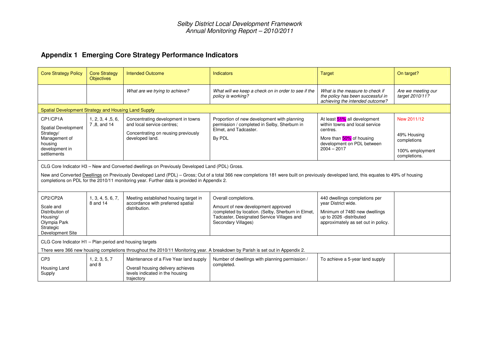# **Appendix 1 Emerging Core Strategy Performance Indicators**

| <b>Core Strategy Policy</b>                                                                                                                                                               | <b>Core Strategy</b><br><b>Objectives</b>                                                                                                                                                                                                                                                                                                                                                     | <b>Intended Outcome</b>                                                                                                      | Indicators                                                                                                                                                                            | <b>Target</b>                                                                                                                                           | On target?                                                                   |  |  |  |
|-------------------------------------------------------------------------------------------------------------------------------------------------------------------------------------------|-----------------------------------------------------------------------------------------------------------------------------------------------------------------------------------------------------------------------------------------------------------------------------------------------------------------------------------------------------------------------------------------------|------------------------------------------------------------------------------------------------------------------------------|---------------------------------------------------------------------------------------------------------------------------------------------------------------------------------------|---------------------------------------------------------------------------------------------------------------------------------------------------------|------------------------------------------------------------------------------|--|--|--|
|                                                                                                                                                                                           |                                                                                                                                                                                                                                                                                                                                                                                               | What are we trying to achieve?                                                                                               | What will we keep a check on in order to see if the<br>policy is working?                                                                                                             | What is the measure to check if<br>the policy has been successful in<br>achieving the intended outcome?                                                 | Are we meeting our<br>target 2010/11?                                        |  |  |  |
|                                                                                                                                                                                           | Spatial Development Strategy and Housing Land Supply                                                                                                                                                                                                                                                                                                                                          |                                                                                                                              |                                                                                                                                                                                       |                                                                                                                                                         |                                                                              |  |  |  |
| CP1/CP1A<br><b>Spatial Development</b><br>Strategy/<br>Management of<br>housing<br>development in<br>settlements                                                                          | 1, 2, 3, 4, 5, 6,<br>7,8, and 14                                                                                                                                                                                                                                                                                                                                                              | Concentrating development in towns<br>and local service centres;<br>Concentrating on reusing previously<br>developed land.   | Proportion of new development with planning<br>permission / completed in Selby, Sherburn in<br>Elmet, and Tadcaster.<br>By PDL                                                        | At least 51% all development<br>within towns and local service<br>centres.<br>More than 50% of housing<br>development on PDL between<br>$2004 - 2017$   | New 2011/12<br>49% Housing<br>completions<br>100% employment<br>completions. |  |  |  |
|                                                                                                                                                                                           | CLG Core Indicator H3 - New and Converted dwellings on Previously Developed Land (PDL) Gross.<br>New and Converted <b>Dwellings</b> on Previously Developed Land (PDL) - Gross; Out of a total 366 new completions 181 were built on previously developed land, this equates to 49% of housing<br>completions on PDL for the 2010/11 monitoring year. Further data is provided in Appendix 2. |                                                                                                                              |                                                                                                                                                                                       |                                                                                                                                                         |                                                                              |  |  |  |
| CP2/CP2A<br>Scale and<br>Distribution of<br>Housing/<br>Olympia Park<br>Strategic<br>Development Site                                                                                     | 1, 3, 4, 5, 6, 7,<br>8 and 14                                                                                                                                                                                                                                                                                                                                                                 | Meeting established housing target in<br>accordance with preferred spatial<br>distribution.                                  | Overall completions.<br>Amount of new development approved<br>/completed by location. (Selby, Sherburn in Elmet,<br>Tadcaster, Designated Service Villages and<br>Secondary Villages) | 440 dwellings completions per<br>vear District wide.<br>Minimum of 7480 new dwellings<br>up to 2026 -distributed<br>approximately as set out in policy. |                                                                              |  |  |  |
| CLG Core Indicator H1 - Plan period and housing targets<br>There were 366 new housing completions throughout the 2010/11 Monitoring year. A breakdown by Parish is set out in Appendix 2. |                                                                                                                                                                                                                                                                                                                                                                                               |                                                                                                                              |                                                                                                                                                                                       |                                                                                                                                                         |                                                                              |  |  |  |
| CP <sub>3</sub><br>Housing Land<br>Supply                                                                                                                                                 | 1, 2, 3, 5, 7<br>and 8                                                                                                                                                                                                                                                                                                                                                                        | Maintenance of a Five Year land supply<br>Overall housing delivery achieves<br>levels indicated in the housing<br>trajectory | Number of dwellings with planning permission /<br>completed.                                                                                                                          | To achieve a 5-year land supply                                                                                                                         |                                                                              |  |  |  |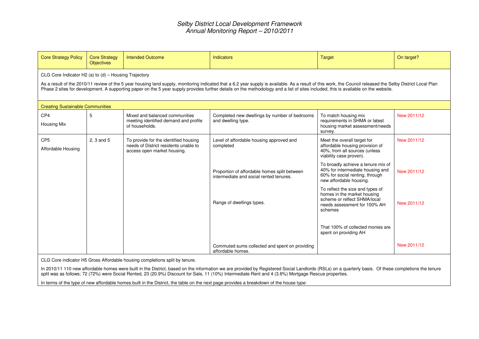| <b>Core Strategy Policy</b>                                                                                                                                                                                                                                                                                                                                                                                                                                | <b>Core Strategy</b><br><b>Objectives</b> | <b>Intended Outcome</b>                                                                                       | <b>Indicators</b>                                                                       | <b>Target</b>                                                                                                                              | On target?  |  |  |  |
|------------------------------------------------------------------------------------------------------------------------------------------------------------------------------------------------------------------------------------------------------------------------------------------------------------------------------------------------------------------------------------------------------------------------------------------------------------|-------------------------------------------|---------------------------------------------------------------------------------------------------------------|-----------------------------------------------------------------------------------------|--------------------------------------------------------------------------------------------------------------------------------------------|-------------|--|--|--|
| CLG Core Indicator H2 (a) to (d) - Housing Trajectory<br>As a result of the 2010/11 review of the 5 year housing land supply, monitoring indicated that a 6.2 year supply is available. As a result of this work, the Council released the Selby District Local Plan<br>Phase 2 sites for development. A supporting paper on the 5 year supply provides further details on the methodology and a list of sites included, this is available on the website. |                                           |                                                                                                               |                                                                                         |                                                                                                                                            |             |  |  |  |
| <b>Creating Sustainable Communities</b>                                                                                                                                                                                                                                                                                                                                                                                                                    |                                           |                                                                                                               |                                                                                         |                                                                                                                                            |             |  |  |  |
| CP4<br><b>Housing Mix</b>                                                                                                                                                                                                                                                                                                                                                                                                                                  | 5                                         | Mixed and balanced communities<br>meeting identified demand and profile<br>of households.                     | Completed new dwellings by number of bedrooms<br>and dwelling type.                     | To match housing mix<br>requirements in SHMA or latest<br>housing market assessment/needs<br>survey.                                       | New 2011/12 |  |  |  |
| CP <sub>5</sub><br>Affordable Housing                                                                                                                                                                                                                                                                                                                                                                                                                      | $2, 3$ and $5$                            | To provide for the identified housing<br>needs of District residents unable to<br>access open market housing. | Level of affordable housing approved and<br>completed                                   | Meet the overall target for<br>affordable housing provision of<br>40%, from all sources (unless<br>viability case proven).                 | New 2011/12 |  |  |  |
|                                                                                                                                                                                                                                                                                                                                                                                                                                                            |                                           |                                                                                                               | Proportion of affordable homes split between<br>intermediate and social rented tenures. | To broadly achieve a tenure mix of<br>40% for intermediate housing and<br>60% for social renting, through<br>new affordable housing.       | New 2011/12 |  |  |  |
|                                                                                                                                                                                                                                                                                                                                                                                                                                                            |                                           |                                                                                                               | Range of dwellings types.                                                               | To reflect the size and types of<br>homes in the market housing<br>scheme or reflect SHMA/local<br>needs assessment for 100% AH<br>schemes | New 2011/12 |  |  |  |
|                                                                                                                                                                                                                                                                                                                                                                                                                                                            |                                           |                                                                                                               |                                                                                         | That 100% of collected monies are<br>spent on providing AH                                                                                 |             |  |  |  |
|                                                                                                                                                                                                                                                                                                                                                                                                                                                            |                                           |                                                                                                               | Commuted sums collected and spent on providing<br>affordable homes.                     |                                                                                                                                            | New 2011/12 |  |  |  |
|                                                                                                                                                                                                                                                                                                                                                                                                                                                            |                                           | CLG Core indicator H5 Gross Affordable housing completions split by tenure.                                   |                                                                                         |                                                                                                                                            |             |  |  |  |

In 2010/11 110 new affordable homes were built in the District, based on the information we are provided by Registered Social Landlords (RSLs) on a quarterly basis. Of these completions the tenure split was as follows; 72 (72%) were Social Rented, 23 (20.9%) Discount for Sale, 11 (10%) Intermediate Rent and 4 (3.6%) Mortgage Rescue properties.

In terms of the type of new affordable homes built in the District, the table on the next page provides <sup>a</sup> breakdown of the house type: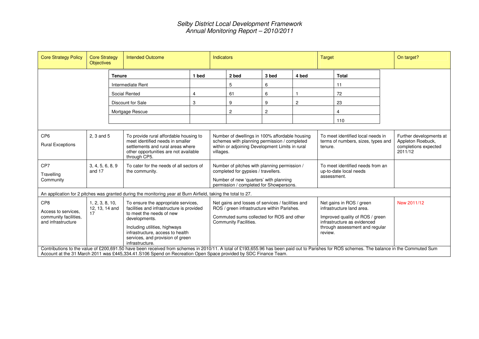| <b>Core Strategy Policy</b>                                                           | <b>Core Strategy</b><br><b>Objectives</b> |               | <b>Intended Outcome</b>                                                                                                                                                                                                                                                                                       |                                                                                                                                                                | <b>Indicators</b>                                                                                                                                                                                                                                     |                |                                                                                                                                                           |                | Target                                                                  |                                                                                 | On target? |
|---------------------------------------------------------------------------------------|-------------------------------------------|---------------|---------------------------------------------------------------------------------------------------------------------------------------------------------------------------------------------------------------------------------------------------------------------------------------------------------------|----------------------------------------------------------------------------------------------------------------------------------------------------------------|-------------------------------------------------------------------------------------------------------------------------------------------------------------------------------------------------------------------------------------------------------|----------------|-----------------------------------------------------------------------------------------------------------------------------------------------------------|----------------|-------------------------------------------------------------------------|---------------------------------------------------------------------------------|------------|
|                                                                                       |                                           | <b>Tenure</b> |                                                                                                                                                                                                                                                                                                               | 1 bed                                                                                                                                                          |                                                                                                                                                                                                                                                       | 2 bed          | 3 bed                                                                                                                                                     | 4 bed          |                                                                         | <b>Total</b>                                                                    |            |
|                                                                                       |                                           |               | Intermediate Rent                                                                                                                                                                                                                                                                                             |                                                                                                                                                                |                                                                                                                                                                                                                                                       | 5              | 6                                                                                                                                                         |                |                                                                         | 11                                                                              |            |
|                                                                                       |                                           |               | Social Rented                                                                                                                                                                                                                                                                                                 | 4                                                                                                                                                              |                                                                                                                                                                                                                                                       | 61             | 6                                                                                                                                                         |                |                                                                         | 72                                                                              |            |
|                                                                                       |                                           |               | Discount for Sale                                                                                                                                                                                                                                                                                             | 3                                                                                                                                                              |                                                                                                                                                                                                                                                       | 9              | 9                                                                                                                                                         | $\overline{c}$ |                                                                         | 23                                                                              |            |
|                                                                                       |                                           |               | Mortgage Rescue                                                                                                                                                                                                                                                                                               |                                                                                                                                                                |                                                                                                                                                                                                                                                       | $\overline{2}$ | $\overline{c}$                                                                                                                                            |                |                                                                         | 4                                                                               |            |
|                                                                                       |                                           |               |                                                                                                                                                                                                                                                                                                               |                                                                                                                                                                |                                                                                                                                                                                                                                                       |                |                                                                                                                                                           |                |                                                                         | 110                                                                             |            |
| CP <sub>6</sub><br><b>Rural Exceptions</b>                                            | 2, 3 and 5                                |               | To provide rural affordable housing to<br>meet identified needs in smaller<br>settlements and rural areas where<br>other opportunities are not available<br>through CP5.                                                                                                                                      | Number of dwellings in 100% affordable housing<br>schemes with planning permission / completed<br>within or adjoining Development Limits in rural<br>villages. |                                                                                                                                                                                                                                                       |                |                                                                                                                                                           | tenure.        | To meet identified local needs in<br>terms of numbers, sizes, types and | Further developments at<br>Appleton Roebuck,<br>completions expected<br>2011/12 |            |
| CP7<br>Travelling<br>Community                                                        | 3, 4, 5, 6, 8, 9<br>and 17                |               | To cater for the needs of all sectors of<br>the community.                                                                                                                                                                                                                                                    |                                                                                                                                                                | Number of pitches with planning permission /<br>To meet identified needs from an<br>completed for gypsies / travellers.<br>up-to-date local needs<br>assessment.<br>Number of new 'quarters' with planning<br>permission / completed for Showpersons. |                |                                                                                                                                                           |                |                                                                         |                                                                                 |            |
|                                                                                       |                                           |               | An application for 2 pitches was granted during the monitoring year at Burn Airfield, taking the total to 27.                                                                                                                                                                                                 |                                                                                                                                                                |                                                                                                                                                                                                                                                       |                |                                                                                                                                                           |                |                                                                         |                                                                                 |            |
| CP <sub>8</sub><br>Access to services.<br>community facilities.<br>and infrastructure | 1, 2, 3, 8, 10,<br>12, 13, 14 and<br>17   |               | To ensure the appropriate services,<br>facilities and infrastructure is provided<br>to meet the needs of new<br>developments.<br>Including utilities, highways<br>infrastructure, access to health<br>services, and provision of green<br>infrastructure.                                                     |                                                                                                                                                                | Net gains and losses of services / facilities and<br>ROS / green infrastructure within Parishes.<br>Commuted sums collected for ROS and other<br>Community Facilities.<br>review.                                                                     |                | Net gains in ROS / green<br>infrastructure land area.<br>Improved quality of ROS / green<br>infrastructure as evidenced<br>through assessment and regular | New 2011/12    |                                                                         |                                                                                 |            |
|                                                                                       |                                           |               | Contributions to the value of £200,691.50 have been received from schemes in 2010/11. A total of £193,655.96 has been paid out to Parishes for ROS schemes. The balance in the Commuted Sum<br>Account at the 31 March 2011 was £445,334.41.S106 Spend on Recreation Open Space provided by SDC Finance Team. |                                                                                                                                                                |                                                                                                                                                                                                                                                       |                |                                                                                                                                                           |                |                                                                         |                                                                                 |            |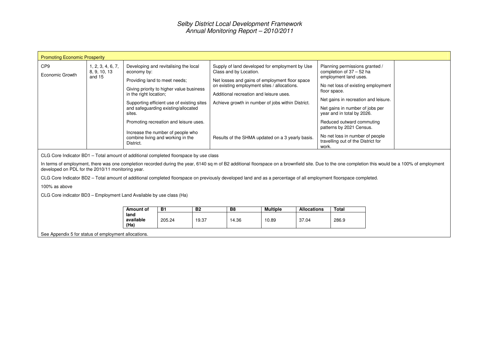| <b>Promoting Economic Prosperity</b>                                                                                                                                                          |                                                      |                                                              |                                                                                                                                                                                                                                                                                                                             |  |                                                                                                                                                                                                                                                                                                                               |  |  |                                                                                                                                                                                                                                                                                                                                                                                        |                                                                                                                                                                                                     |
|-----------------------------------------------------------------------------------------------------------------------------------------------------------------------------------------------|------------------------------------------------------|--------------------------------------------------------------|-----------------------------------------------------------------------------------------------------------------------------------------------------------------------------------------------------------------------------------------------------------------------------------------------------------------------------|--|-------------------------------------------------------------------------------------------------------------------------------------------------------------------------------------------------------------------------------------------------------------------------------------------------------------------------------|--|--|----------------------------------------------------------------------------------------------------------------------------------------------------------------------------------------------------------------------------------------------------------------------------------------------------------------------------------------------------------------------------------------|-----------------------------------------------------------------------------------------------------------------------------------------------------------------------------------------------------|
| CP <sub>9</sub><br>Economic Growth                                                                                                                                                            | 1, 2, 3, 4, 6, 7,<br>8, 9, 10, 13<br>and 15          | economy by:<br>in the right location;<br>sites.<br>District. | Developing and revitalising the local<br>Providing land to meet needs:<br>Giving priority to higher value business<br>Supporting efficient use of existing sites<br>and safeguarding existing/allocated<br>Promoting recreation and leisure uses.<br>Increase the number of people who<br>combine living and working in the |  | Supply of land developed for employment by Use<br>Class and by Location.<br>Net losses and gains of employment floor space<br>on existing employment sites / allocations.<br>Additional recreation and leisure uses.<br>Achieve growth in number of jobs within District.<br>Results of the SHMA updated on a 3 yearly basis. |  |  | Planning permissions granted /<br>completion of $37 - 52$ ha<br>employment land uses.<br>No net loss of existing employment<br>floor space.<br>Net gains in recreation and leisure.<br>Net gains in number of jobs per<br>year and in total by 2026.<br>Reduced outward commuting<br>patterns by 2021 Census.<br>No net loss in number of people<br>travelling out of the District for |                                                                                                                                                                                                     |
| CLG Core Indicator BD1 - Total amount of additional completed floorspace by use class                                                                                                         |                                                      |                                                              |                                                                                                                                                                                                                                                                                                                             |  |                                                                                                                                                                                                                                                                                                                               |  |  | work.                                                                                                                                                                                                                                                                                                                                                                                  | In terms of employment, there was one completion recorded during the year, 6140 sq m of B2 additional floorspace on a brownfield site. Due to the one completion this would be a 100% of employment |
| developed on PDL for the 2010/11 monitoring year.                                                                                                                                             |                                                      |                                                              |                                                                                                                                                                                                                                                                                                                             |  |                                                                                                                                                                                                                                                                                                                               |  |  |                                                                                                                                                                                                                                                                                                                                                                                        |                                                                                                                                                                                                     |
|                                                                                                                                                                                               |                                                      |                                                              |                                                                                                                                                                                                                                                                                                                             |  |                                                                                                                                                                                                                                                                                                                               |  |  | CLG Core Indicator BD2 – Total amount of additional completed floorspace on previously developed land and as a percentage of all employment floorspace completed.                                                                                                                                                                                                                      |                                                                                                                                                                                                     |
| 100% as above                                                                                                                                                                                 |                                                      |                                                              |                                                                                                                                                                                                                                                                                                                             |  |                                                                                                                                                                                                                                                                                                                               |  |  |                                                                                                                                                                                                                                                                                                                                                                                        |                                                                                                                                                                                                     |
| CLG Core indicator BD3 - Employment Land Available by use class (Ha)                                                                                                                          |                                                      |                                                              |                                                                                                                                                                                                                                                                                                                             |  |                                                                                                                                                                                                                                                                                                                               |  |  |                                                                                                                                                                                                                                                                                                                                                                                        |                                                                                                                                                                                                     |
| <b>B1</b><br><b>B2</b><br>Amount of<br><b>B8</b><br><b>Multiple</b><br><b>Total</b><br><b>Allocations</b><br>land<br>available<br>205.24<br>19.37<br>37.04<br>286.9<br>14.36<br>10.89<br>(Ha) |                                                      |                                                              |                                                                                                                                                                                                                                                                                                                             |  |                                                                                                                                                                                                                                                                                                                               |  |  |                                                                                                                                                                                                                                                                                                                                                                                        |                                                                                                                                                                                                     |
|                                                                                                                                                                                               | See Appendix 5 for status of employment allocations. |                                                              |                                                                                                                                                                                                                                                                                                                             |  |                                                                                                                                                                                                                                                                                                                               |  |  |                                                                                                                                                                                                                                                                                                                                                                                        |                                                                                                                                                                                                     |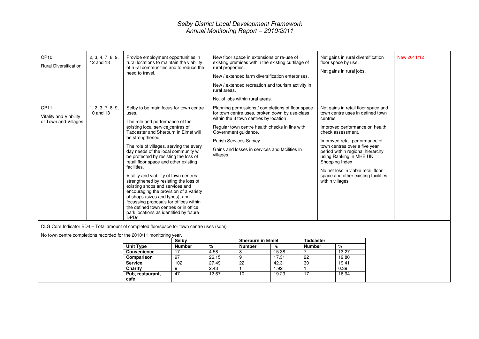| CP10<br><b>Rural Diversification</b>                               | 2, 3, 4, 7, 8, 9,<br>12 and 13 | Provide employment opportunities in<br>rural locations to maintain the viability<br>of rural communities and to reduce the<br>need to travel.                                                                                                                                                                                                                                                                                                                                                                                                                                                                                                                                                                    | New floor space in extensions or re-use of<br>existing premises within the existing curtilage of<br>rural properties.<br>New / extended farm diversification enterprises.<br>New / extended recreation and tourism activity in<br>rural areas.<br>No. of jobs within rural areas.                                | Net gains in rural diversification<br>floor space by use.<br>Net gains in rural jobs.                                                                                                                                                                                                                                                                                                          | New 2011/12 |
|--------------------------------------------------------------------|--------------------------------|------------------------------------------------------------------------------------------------------------------------------------------------------------------------------------------------------------------------------------------------------------------------------------------------------------------------------------------------------------------------------------------------------------------------------------------------------------------------------------------------------------------------------------------------------------------------------------------------------------------------------------------------------------------------------------------------------------------|------------------------------------------------------------------------------------------------------------------------------------------------------------------------------------------------------------------------------------------------------------------------------------------------------------------|------------------------------------------------------------------------------------------------------------------------------------------------------------------------------------------------------------------------------------------------------------------------------------------------------------------------------------------------------------------------------------------------|-------------|
| CP <sub>11</sub><br>Vitality and Viability<br>of Town and Villages | 1, 2, 3, 7, 8, 9,<br>10 and 13 | Selby to be main focus for town centre<br>uses.<br>The role and performance of the<br>existing local service centres of<br>Tadcaster and Sherburn in Elmet will<br>be strengthened<br>The role of villages, serving the every<br>day needs of the local community will<br>be protected by resisting the loss of<br>retail floor space and other existing<br>facilities.<br>Vitality and viability of town centres<br>strengthened by resisting the loss of<br>existing shops and services and<br>encouraging the provision of a variety<br>of shops (sizes and types); and<br>focussing proposals for offices within<br>the defined town centres or in office<br>park locations as identified by future<br>DPDs. | Planning permissions / completions of floor space<br>for town centre uses, broken down by use-class<br>within the 3 town centres by location<br>Regular town centre health checks in line with<br>Government guidance.<br>Parish Services Survey.<br>Gains and losses in services and facilities in<br>villages. | Net gains in retail floor space and<br>town centre uses in defined town<br>centres.<br>Improved performance on health<br>check assessment.<br>Improved retail performance of<br>town centres over a five year<br>period within regional hierarchy<br>using Ranking in MHE UK<br>Shopping Index<br>No net loss in viable retail floor<br>space and other existing facilities<br>within villages |             |

CLG Core Indicator BD4 – Total amount of completed floorspace for town centre uses (sqm)

No town centre completions recorded for the 2010/11 monitoring year.

| ີ                  | Selby         |       | <b>Sherburn in Elmet</b> |       | <b>Tadcaster</b> |       |
|--------------------|---------------|-------|--------------------------|-------|------------------|-------|
| Unit Type          | <b>Number</b> | %     | <b>Number</b>            | %     | <b>Number</b>    | %     |
| <b>Convenience</b> |               | 4.58  |                          | 15.38 |                  | 13.27 |
| Comparison         | 97            | 26.15 | 9                        | 17.31 | 22               | 19.80 |
| <b>Service</b>     | 102           | 27.49 | 22                       | 42.31 | 30               | 19.41 |
| <b>Charity</b>     |               | 2.43  |                          | 1.92  |                  | 0.39  |
| Pub, restaurant,   | 47            | 12.67 | 10                       | 19.23 |                  | 16.94 |
| café               |               |       |                          |       |                  |       |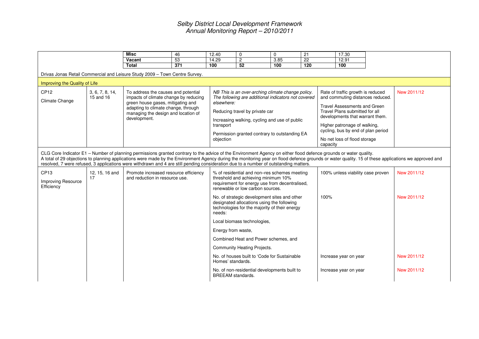|                                    |                               | <b>Misc</b>                                                                                                                                                                                                                                                                                                                                                                           | 46  | 12.40                                | 0                                                                                                                                                                                                                                            | $\mathbf 0$ | 21              | 17.30                                                                                                                                                                                                                                                                            |                                                                                                                                                                                                                     |
|------------------------------------|-------------------------------|---------------------------------------------------------------------------------------------------------------------------------------------------------------------------------------------------------------------------------------------------------------------------------------------------------------------------------------------------------------------------------------|-----|--------------------------------------|----------------------------------------------------------------------------------------------------------------------------------------------------------------------------------------------------------------------------------------------|-------------|-----------------|----------------------------------------------------------------------------------------------------------------------------------------------------------------------------------------------------------------------------------------------------------------------------------|---------------------------------------------------------------------------------------------------------------------------------------------------------------------------------------------------------------------|
|                                    |                               | Vacant                                                                                                                                                                                                                                                                                                                                                                                | 53  | 14.29                                | $\overline{2}$                                                                                                                                                                                                                               | 3.85        | $\overline{22}$ | 12.91                                                                                                                                                                                                                                                                            |                                                                                                                                                                                                                     |
|                                    |                               | <b>Total</b>                                                                                                                                                                                                                                                                                                                                                                          | 371 | 100                                  | 52                                                                                                                                                                                                                                           | 100         | 120             | 100                                                                                                                                                                                                                                                                              |                                                                                                                                                                                                                     |
|                                    |                               | Drivas Jonas Retail Commercial and Leisure Study 2009 - Town Centre Survey.                                                                                                                                                                                                                                                                                                           |     |                                      |                                                                                                                                                                                                                                              |             |                 |                                                                                                                                                                                                                                                                                  |                                                                                                                                                                                                                     |
|                                    | Improving the Quality of Life |                                                                                                                                                                                                                                                                                                                                                                                       |     |                                      |                                                                                                                                                                                                                                              |             |                 |                                                                                                                                                                                                                                                                                  |                                                                                                                                                                                                                     |
| CP <sub>12</sub><br>Climate Change | 3, 6, 7, 8, 14,<br>15 and 16  | To address the causes and potential<br>impacts of climate change by reducing<br>green house gases, mitigating and<br>adapting to climate change, through<br>managing the design and location of<br>development.                                                                                                                                                                       |     | elsewhere:<br>transport<br>objection | NB This is an over-arching climate change policy.<br>The following are additional indicators not covered<br>Reducing travel by private car<br>Increasing walking, cycling and use of public<br>Permission granted contrary to outstanding EA |             | capacity        | Rate of traffic growth is reduced<br>and commuting distances reduced.<br>Travel Assessments and Green<br>Travel Plans submitted for all<br>developments that warrant them.<br>Higher patronage of walking,<br>cycling, bus by end of plan period<br>No net loss of flood storage | New 2011/12                                                                                                                                                                                                         |
| CP13<br><b>Improving Resource</b>  | 12, 15, 16 and<br>17          | CLG Core Indicator E1 - Number of planning permissions granted contrary to the advice of the Environment Agency on either flood defence grounds or water quality.<br>resolved, 7 were refused, 3 applications were withdrawn and 4 are still pending consideration due to a number of outstanding matters.<br>Promote increased resource efficiency<br>and reduction in resource use. |     |                                      | % of residential and non-res schemes meeting<br>threshold and achieving minimum 10%<br>requirement for energy use from decentralised,                                                                                                        |             |                 | 100% unless viability case proven                                                                                                                                                                                                                                                | A total of 29 objections to planning applications were made by the Environment Agency during the monitoring year on flood defence grounds or water quality. 15 of these applications we approved and<br>New 2011/12 |
| Efficiency                         |                               |                                                                                                                                                                                                                                                                                                                                                                                       |     | needs:                               | renewable or low carbon sources.<br>No. of strategic development sites and other<br>designated allocations using the following<br>technologies for the majority of their energy                                                              |             | 100%            |                                                                                                                                                                                                                                                                                  | New 2011/12                                                                                                                                                                                                         |
|                                    |                               |                                                                                                                                                                                                                                                                                                                                                                                       |     |                                      | Local biomass technologies,                                                                                                                                                                                                                  |             |                 |                                                                                                                                                                                                                                                                                  |                                                                                                                                                                                                                     |
|                                    |                               |                                                                                                                                                                                                                                                                                                                                                                                       |     | Energy from waste,                   |                                                                                                                                                                                                                                              |             |                 |                                                                                                                                                                                                                                                                                  |                                                                                                                                                                                                                     |
|                                    |                               |                                                                                                                                                                                                                                                                                                                                                                                       |     |                                      | Combined Heat and Power schemes, and                                                                                                                                                                                                         |             |                 |                                                                                                                                                                                                                                                                                  |                                                                                                                                                                                                                     |
|                                    |                               |                                                                                                                                                                                                                                                                                                                                                                                       |     |                                      | Community Heating Projects.                                                                                                                                                                                                                  |             |                 |                                                                                                                                                                                                                                                                                  |                                                                                                                                                                                                                     |
|                                    |                               |                                                                                                                                                                                                                                                                                                                                                                                       |     | Homes' standards.                    | No. of houses built to 'Code for Sustainable                                                                                                                                                                                                 |             |                 | Increase year on year                                                                                                                                                                                                                                                            | New 2011/12                                                                                                                                                                                                         |
|                                    |                               |                                                                                                                                                                                                                                                                                                                                                                                       |     | <b>BREEAM</b> standards.             | No. of non-residential developments built to                                                                                                                                                                                                 |             |                 | Increase year on year                                                                                                                                                                                                                                                            | New 2011/12                                                                                                                                                                                                         |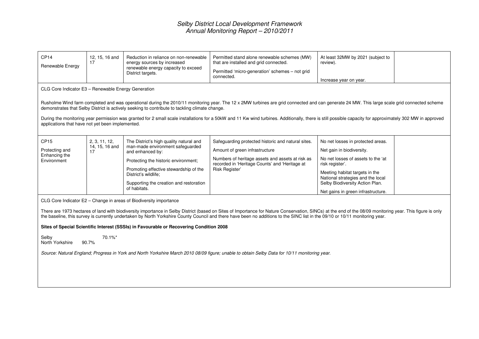| 12, 15, 16 and<br>17                  | Reduction in reliance on non-renewable<br>energy sources by increased<br>renewable energy capacity to exceed<br>District targets.                                                                                                                                    | Permitted stand alone renewable schemes (MW)<br>that are installed and grid connected.<br>Permitted 'micro-generation' schemes - not grid<br>connected.                                                      | At least 32MW by 2021 (subject to<br>review).<br>Increase year on year.                                                                                                                                                                                                 |                                                                                                                                                                                                                                                                                                                                                                                                                                                                                                                                                                                                                                                                                                                                                                                                                                                                                                                                                         |
|---------------------------------------|----------------------------------------------------------------------------------------------------------------------------------------------------------------------------------------------------------------------------------------------------------------------|--------------------------------------------------------------------------------------------------------------------------------------------------------------------------------------------------------------|-------------------------------------------------------------------------------------------------------------------------------------------------------------------------------------------------------------------------------------------------------------------------|---------------------------------------------------------------------------------------------------------------------------------------------------------------------------------------------------------------------------------------------------------------------------------------------------------------------------------------------------------------------------------------------------------------------------------------------------------------------------------------------------------------------------------------------------------------------------------------------------------------------------------------------------------------------------------------------------------------------------------------------------------------------------------------------------------------------------------------------------------------------------------------------------------------------------------------------------------|
|                                       |                                                                                                                                                                                                                                                                      |                                                                                                                                                                                                              |                                                                                                                                                                                                                                                                         |                                                                                                                                                                                                                                                                                                                                                                                                                                                                                                                                                                                                                                                                                                                                                                                                                                                                                                                                                         |
|                                       |                                                                                                                                                                                                                                                                      |                                                                                                                                                                                                              |                                                                                                                                                                                                                                                                         |                                                                                                                                                                                                                                                                                                                                                                                                                                                                                                                                                                                                                                                                                                                                                                                                                                                                                                                                                         |
|                                       |                                                                                                                                                                                                                                                                      |                                                                                                                                                                                                              |                                                                                                                                                                                                                                                                         |                                                                                                                                                                                                                                                                                                                                                                                                                                                                                                                                                                                                                                                                                                                                                                                                                                                                                                                                                         |
| 2, 3, 11, 12,<br>14, 15, 16 and<br>17 | The District's high quality natural and<br>man-made environment safeguarded<br>and enhanced by:<br>Protecting the historic environment;<br>Promoting effective stewardship of the<br>District's wildlife:<br>Supporting the creation and restoration<br>of habitats. | Safeguarding protected historic and natural sites.<br>Amount of green infrastructure<br>Numbers of heritage assets and assets at risk as<br>recorded in 'Heritage Counts' and 'Heritage at<br>Risk Register' | No net losses in protected areas.<br>Net gain in biodiversity.<br>No net losses of assets to the 'at<br>risk register'.<br>Meeting habitat targets in the<br>National strategies and the local<br>Selby Biodiversity Action Plan.<br>Net gains in green infrastructure. |                                                                                                                                                                                                                                                                                                                                                                                                                                                                                                                                                                                                                                                                                                                                                                                                                                                                                                                                                         |
|                                       |                                                                                                                                                                                                                                                                      |                                                                                                                                                                                                              |                                                                                                                                                                                                                                                                         |                                                                                                                                                                                                                                                                                                                                                                                                                                                                                                                                                                                                                                                                                                                                                                                                                                                                                                                                                         |
|                                       |                                                                                                                                                                                                                                                                      |                                                                                                                                                                                                              |                                                                                                                                                                                                                                                                         |                                                                                                                                                                                                                                                                                                                                                                                                                                                                                                                                                                                                                                                                                                                                                                                                                                                                                                                                                         |
| 70.1%*                                |                                                                                                                                                                                                                                                                      |                                                                                                                                                                                                              |                                                                                                                                                                                                                                                                         |                                                                                                                                                                                                                                                                                                                                                                                                                                                                                                                                                                                                                                                                                                                                                                                                                                                                                                                                                         |
|                                       | 90.7%                                                                                                                                                                                                                                                                | CLG Core Indicator E3 - Renewable Energy Generation<br>applications that have not yet been implemented.<br>CLG Core Indicator E2 - Change in areas of Biodiversity importance                                | demonstrates that Selby District is actively seeking to contribute to tackling climate change.<br>Sites of Special Scientific Interest (SSSIs) in Favourable or Recovering Condition 2008                                                                               | Rusholme Wind farm completed and was operational during the 2010/11 monitoring year. The 12 x 2MW turbines are grid connected and can generate 24 MW. This large scale grid connected scheme<br>During the monitoring year permission was granted for 2 small scale installations for a 50kW and 11 Kw wind turbines. Additionally, there is still possible capacity for approximately 302 MW in approved<br>There are 1973 hectares of land with biodiversity importance in Selby District (based on Sites of Importance for Nature Conservation, SINCs) at the end of the 08/09 monitoring year. This figure is only<br>the baseline, this survey is currently undertaken by North Yorkshire County Council and there have been no additions to the SINC list in the 09/10 or 10/11 monitoring year.<br>Source: Natural England; Progress in York and North Yorkshire March 2010 08/09 figure; unable to obtain Selby Data for 10/11 monitoring year. |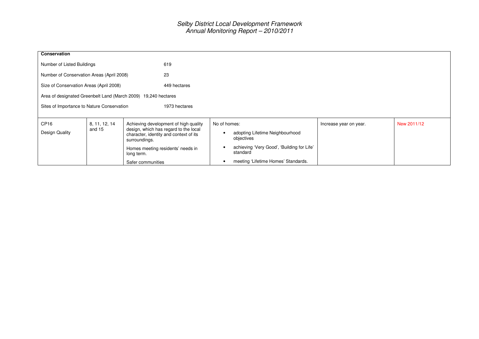| Conservation                                                   |                                                             |                                                                                                  |                                               |                        |             |  |  |
|----------------------------------------------------------------|-------------------------------------------------------------|--------------------------------------------------------------------------------------------------|-----------------------------------------------|------------------------|-------------|--|--|
| 619<br>Number of Listed Buildings                              |                                                             |                                                                                                  |                                               |                        |             |  |  |
| 23<br>Number of Conservation Areas (April 2008)                |                                                             |                                                                                                  |                                               |                        |             |  |  |
| Size of Conservation Areas (April 2008)                        |                                                             | 449 hectares                                                                                     |                                               |                        |             |  |  |
| Area of designated Greenbelt Land (March 2009) 19,240 hectares |                                                             |                                                                                                  |                                               |                        |             |  |  |
|                                                                | Sites of Importance to Nature Conservation<br>1973 hectares |                                                                                                  |                                               |                        |             |  |  |
|                                                                |                                                             |                                                                                                  |                                               |                        |             |  |  |
| CP <sub>16</sub>                                               | 8, 11, 12, 14                                               | Achieving development of high quality                                                            | No of homes:                                  | Increase year on year. | New 2011/12 |  |  |
| <b>Design Quality</b>                                          | and 15                                                      | design, which has regard to the local<br>character, identity and context of its<br>surroundings. | adopting Lifetime Neighbourhood<br>objectives |                        |             |  |  |
| Homes meeting residents' needs in<br>long term.                |                                                             | achieving 'Very Good', 'Building for Life'<br>standard                                           |                                               |                        |             |  |  |
|                                                                |                                                             | Safer communities                                                                                | meeting 'Lifetime Homes' Standards.           |                        |             |  |  |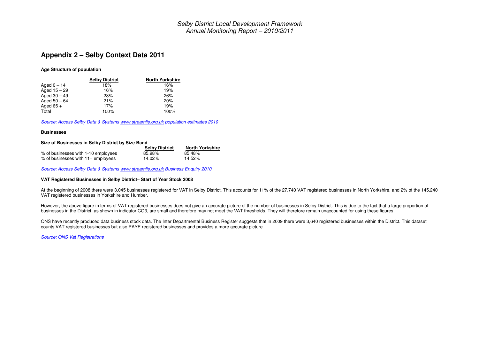#### **Appendix 2 – Selby Context Data 2011**

#### **Age Structure of population**

|                | <b>Selby District</b> | <b>North Yorkshire</b> |
|----------------|-----------------------|------------------------|
| Aged $0 - 14$  | 18%                   | 16%                    |
| Aged $15 - 29$ | 16%                   | 19%                    |
| Aged $30 - 49$ | 28%                   | 26%                    |
| Aged $50 - 64$ | 21%                   | 20%                    |
| Aged $65 +$    | 17%                   | 19%                    |
| Total          | 100%                  | 100%                   |

*Source: Access Selby Data & Systems www.streamlis.org.uk population estimates 2010*

#### **Businesses**

#### **Size of Businesses in Selby District by Size Band**

|                                      | <b>Selby District</b> | <b>North Yorkshire</b> |
|--------------------------------------|-----------------------|------------------------|
| % of businesses with 1-10 employees  | 85.98%                | 85.48%                 |
| $%$ of businesses with 11+ employees | 14.02%                | 14.52%                 |

*Source: Access Selby Data & Systems www.streamlis.org.uk Business Enquiry 2010*

#### **VAT Registered Businesses in Selby District– Start of Year Stock 2008**

At the beginning of 2008 there were 3,045 businesses registered for VAT in Selby District. This accounts for 11% of the 27,740 VAT registered businesses in North Yorkshire, and 2% of the 145,240 VAT registered businesses in Yorkshire and Humber.

However, the above figure in terms of VAT registered businesses does not give an accurate picture of the number of businesses in Selby District. This is due to the fact that a large proportion of businesses in the District, as shown in indicator CO3, are small and therefore may not meet the VAT thresholds. They will therefore remain unaccounted for using these figures.

ONS have recently produced data business stock data. The Inter Departmental Business Register suggests that in 2009 there were 3,640 registered businesses within the District. This dataset counts VAT registered businesses but also PAYE registered businesses and provides <sup>a</sup> more accurate picture.

*Source: ONS Vat Registrations*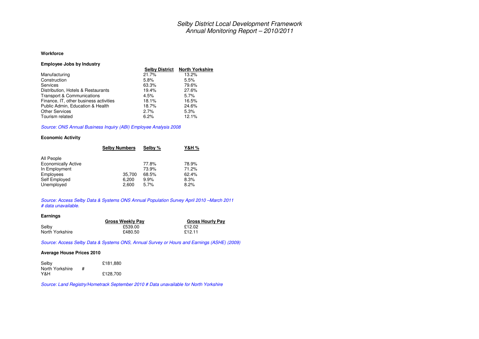#### **Workforce**

| <b>Employee Jobs by Industry</b>       |                       |                        |
|----------------------------------------|-----------------------|------------------------|
|                                        | <b>Selby District</b> | <b>North Yorkshire</b> |
| Manufacturing                          | 21.7%                 | 13.2%                  |
| Construction                           | 5.8%                  | 5.5%                   |
| Services                               | 63.3%                 | 79.6%                  |
| Distribution, Hotels & Restaurants     | 19.4%                 | 27.6%                  |
| Transport & Communications             | 4.5%                  | 5.7%                   |
| Finance, IT, other business activities | 18.1%                 | 16.5%                  |
| Public Admin, Education & Health       | 18.7%                 | 24.6%                  |
| <b>Other Services</b>                  | 2.7%                  | 5.3%                   |
| Tourism related                        | 6.2%                  | 12.1%                  |

#### *Source: ONS Annual Business Inquiry (ABI) Employee Analysis 2008*

#### **Economic Activity**

| <b>Selby Numbers</b> | Selby % | Y&H % |
|----------------------|---------|-------|
|                      |         |       |
|                      | 77.8%   | 78.9% |
|                      | 73.9%   | 71.2% |
| 35.700               | 68.5%   | 62.4% |
| 6,200                | 9.9%    | 8.3%  |
| 2,600                | 5.7%    | 8.2%  |
|                      |         |       |

#### *Source: Access Selby Data & Systems ONS Annual Population Survey April 2010 –March 2011 # data unavailable.*

#### **Earnings**

|                 | <b>Gross Weekly Pav</b> | <b>Gross Hourly Pav</b> |
|-----------------|-------------------------|-------------------------|
| Selby           | £539.00                 | £12.02                  |
| North Yorkshire | £480.50                 | £12.11                  |

*Source: Access Selby Data & Systems ONS, Annual Survey or Hours and Earnings (ASHE) (2009)*

#### **Average House Prices 2010**

| Selby           |   | £181,880 |
|-----------------|---|----------|
| North Yorkshire | # |          |
| Y&H.            |   | £128,700 |

*Source: Land Registry/Hometrack September 2010 # Data unavailable for North Yorkshire*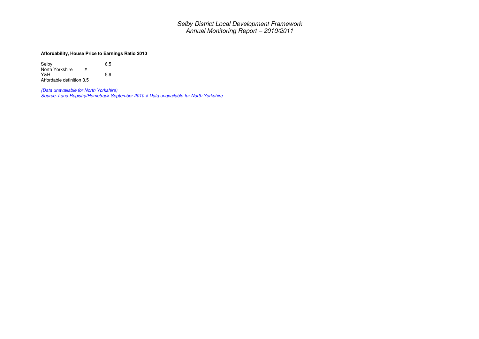#### **Affordability, House Price to Earnings Ratio 2010**

Selby 6.5 North Yorkshire # Y&H 5.9 Affordable definition 3.5

(Data unavailable for North Yorkshire)<br>Source: Land Registry/Hometrack September 2010 # Data unavailable for North Yorkshire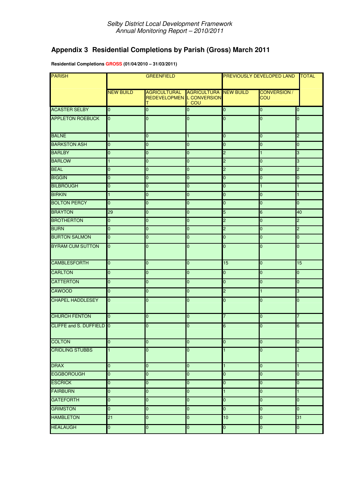# **Appendix 3 Residential Completions by Parish (Gross) March 2011**

**Residential Completions GROSS (01/04/2010 – 31/03/2011)**

| <b>PARISH</b>            | <b>GREENFIELD</b> |                                                              | PREVIOUSLY DEVELOPED LAND             | <b>TOTAL</b>   |                                   |                |
|--------------------------|-------------------|--------------------------------------------------------------|---------------------------------------|----------------|-----------------------------------|----------------|
|                          | <b>NEW BUILD</b>  | <b>AGRICULTURAL</b><br><b>REDEVELOPMEN L CONVERSION</b><br>т | <b>AGRICULTURA NEW BUILD</b><br>/ COU |                | <b>CONVERSION /</b><br><b>COU</b> |                |
| <b>ACASTER SELBY</b>     | $\overline{0}$    | $\mathbf 0$                                                  | 0                                     | $\overline{0}$ | 0                                 | 0              |
| <b>APPLETON ROEBUCK</b>  | n                 | $\overline{0}$                                               | 0                                     | $\overline{0}$ | $\overline{0}$                    | 0              |
| <b>BALNE</b>             | 1                 | $\overline{0}$                                               | $\mathbf{1}$                          | $\overline{0}$ | $\overline{0}$                    | $\overline{c}$ |
| <b>BARKSTON ASH</b>      | 0                 | $\mathbf 0$                                                  | 0                                     | 0              | 0                                 | 0              |
| <b>BARLBY</b>            | $\overline{0}$    | $\mathbf 0$                                                  | 0                                     | 2              | 1                                 | 3              |
| <b>BARLOW</b>            |                   | $\pmb{0}$                                                    | 0                                     | 2              | $\mathbf 0$                       | 3              |
| <b>BEAL</b>              | $\overline{0}$    | $\pmb{0}$                                                    | 0                                     | $\overline{c}$ | $\overline{0}$                    | SJ.            |
| <b>BIGGIN</b>            | 0                 | 0                                                            | 0                                     | 0              | 0                                 | 0              |
| <b>BILBROUGH</b>         | 0                 | $\mathbf 0$                                                  | 0                                     | 0              | $\mathbf{1}$                      | $\mathbf{1}$   |
| <b>BIRKIN</b>            | 1                 | $\mathbf 0$                                                  | 0                                     | 0              | 0                                 | $\mathbf{1}$   |
| <b>BOLTON PERCY</b>      | $\overline{0}$    | $\pmb{0}$                                                    | $\overline{0}$                        | $\overline{0}$ | $\overline{0}$                    | 0              |
| <b>BRAYTON</b>           | 29                | 0                                                            | 0                                     | 5              | 6                                 | 40             |
| <b>BROTHERTON</b>        | $\overline{0}$    | $\mathbf 0$                                                  | 0                                     | $\overline{c}$ | 0                                 | $\overline{c}$ |
| <b>BURN</b>              | 0                 | $\mathbf 0$                                                  | 0                                     | $\overline{c}$ | 0                                 | $\overline{c}$ |
| <b>BURTON SALMON</b>     | 0                 | $\overline{0}$                                               | $\overline{0}$                        | $\overline{0}$ | $\overline{0}$                    | 0              |
| <b>BYRAM CUM SUTTON</b>  | $\overline{0}$    | $\mathbf 0$                                                  | $\overline{0}$                        | $\overline{0}$ | 0                                 | $\overline{0}$ |
| <b>CAMBLESFORTH</b>      | $\overline{0}$    | 0                                                            | 0                                     | 15             | 0                                 | 15             |
| <b>CARLTON</b>           | $\overline{0}$    | $\mathbf 0$                                                  | $\overline{0}$                        | 0              | $\overline{0}$                    | 0              |
| <b>CATTERTON</b>         | $\overline{0}$    | $\overline{0}$                                               | $\overline{0}$                        | $\overline{0}$ | $\overline{0}$                    | $\overline{0}$ |
| <b>CAWOOD</b>            | $\overline{0}$    | $\mathbf 0$                                                  | 0                                     | 2              | 1                                 | 3              |
| <b>CHAPEL HADDLESEY</b>  | $\overline{0}$    | $\mathbf 0$                                                  | $\overline{0}$                        | $\overline{0}$ | $\overline{0}$                    | $\overline{0}$ |
| <b>CHURCH FENTON</b>     | $\Omega$          | $\mathbf 0$                                                  | 0                                     |                | $\overline{0}$                    | $\overline{7}$ |
| CLIFFE and S. DUFFIELD 0 |                   | $\Omega$                                                     | $\Omega$                              | R              | $\Omega$                          |                |
| <b>COLTON</b>            | $\overline{0}$    | 0                                                            | $\overline{0}$                        | $\overline{0}$ | $\overline{0}$                    | 0              |
| <b>CRIDLING STUBBS</b>   |                   | $\mathbf 0$                                                  | 0                                     | 1              | $\overline{0}$                    | c              |
| <b>DRAX</b>              | $\overline{0}$    | $\overline{\textbf{0}}$                                      | 0                                     | 1              | 0                                 | $\mathbf{1}$   |
| <b>EGGBOROUGH</b>        | $\overline{0}$    | $\mathbf 0$                                                  | 0                                     | 0              | 0                                 | 0              |
| <b>ESCRICK</b>           | $\overline{0}$    | $\pmb{0}$                                                    | 0                                     | 0              | 0                                 | 0              |
| <b>FAIRBURN</b>          | $\overline{0}$    | $\mathbf 0$                                                  | 0                                     | 1              | 0                                 | $\mathbf{1}$   |
| <b>GATEFORTH</b>         | 0                 | $\pmb{0}$                                                    | 0                                     | 0              | 0                                 | 0              |
| <b>GRIMSTON</b>          | $\overline{0}$    | $\mathbf 0$                                                  | $\overline{0}$                        | $\overline{0}$ | $\overline{0}$                    | $\overline{0}$ |
| <b>HAMBLETON</b>         | 21                | $\overline{0}$                                               | $\overline{0}$                        | 10             | $\overline{0}$                    | 31             |
| <b>HEALAUGH</b>          | $\overline{0}$    | $\mathbf 0$                                                  | $\overline{0}$                        | $\overline{0}$ | $\overline{0}$                    | $\overline{0}$ |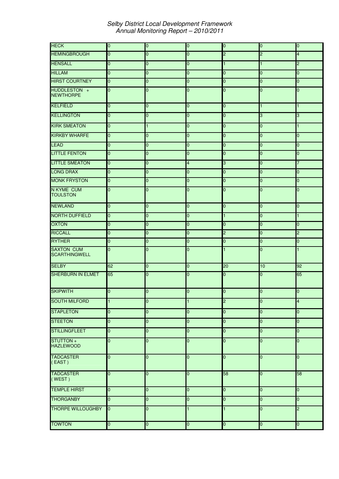| <b>HECK</b>                               | $\overline{0}$ | $\pmb{0}$      | $\overline{0}$ | $\overline{0}$          | $\overline{0}$ | $\overline{0}$          |
|-------------------------------------------|----------------|----------------|----------------|-------------------------|----------------|-------------------------|
| <b>HEMINGBROUGH</b>                       | 0              | $\overline{0}$ | $\overline{0}$ | $\overline{c}$          | $\overline{c}$ | 4                       |
| <b>HENSALL</b>                            | 0              | $\mathbf 0$    | 0              | 1.                      | 1              | $\overline{c}$          |
| <b>HILLAM</b>                             | $\overline{0}$ | $\mathbf 0$    | 0              | $\overline{0}$          | $\overline{0}$ | $\overline{0}$          |
| <b>HIRST COURTNEY</b>                     | $\overline{0}$ | $\mathbf 0$    | 0              | 0                       | 0              | 0                       |
| HUDDLESTON +<br><b>NEWTHORPE</b>          | 0              | $\mathbf{0}$   | $\overline{0}$ | $\overline{0}$          | $\overline{0}$ | 0                       |
| <b>KELFIELD</b>                           | $\Omega$       | $\overline{0}$ | $\overline{0}$ | $\overline{0}$          | $\mathbf{1}$   | $\mathbf{1}$            |
| <b>KELLINGTON</b>                         | $\overline{0}$ | $\mathbf 0$    | $\overline{0}$ | $\overline{0}$          | 3              | 3                       |
| <b>KIRK SMEATON</b>                       | $\overline{0}$ | $\mathbf{1}$   | $\overline{0}$ | $\overline{0}$          | $\overline{0}$ | $\mathbf{1}$            |
| <b>KIRKBY WHARFE</b>                      | 0              | $\mathbf 0$    | 0              | $\overline{0}$          | 0              | 0                       |
| <b>LEAD</b>                               | $\overline{0}$ | $\mathbf 0$    | $\overline{0}$ | $\overline{0}$          | $\overline{0}$ | $\overline{0}$          |
| <b>LITTLE FENTON</b>                      | 0              | $\overline{0}$ | $\overline{0}$ | 0                       | $\overline{0}$ | 0                       |
| <b>LITTLE SMEATON</b>                     | 0              | $\mathbf 0$    | 4              | 3                       | 0              | 7                       |
| <b>LONG DRAX</b>                          | $\overline{0}$ | $\mathbf 0$    | $\overline{0}$ | $\overline{0}$          | $\overline{0}$ | $\overline{0}$          |
| <b>MONK FRYSTON</b>                       | 0              | $\overline{0}$ | $\overline{0}$ | 0                       | 0              | 0                       |
| <b>N KYME CUM</b><br><b>TOULSTON</b>      | n              | $\mathbf{0}$   | $\overline{0}$ | $\overline{0}$          | $\overline{0}$ | 0                       |
| <b>NEWLAND</b>                            | 0              | $\mathbf 0$    | $\overline{0}$ | $\overline{0}$          | $\overline{0}$ | 0                       |
| <b>NORTH DUFFIELD</b>                     | $\overline{0}$ | $\mathbf 0$    | 0              | 1                       | $\overline{0}$ | 1                       |
| <b>OXTON</b>                              | $\overline{0}$ | $\mathbf 0$    | 0              | $\overline{0}$          | 0              | 0                       |
| <b>RICCALL</b>                            | $\overline{0}$ | 0              | 0              | $\overline{2}$          | $\overline{0}$ | $\overline{c}$          |
| <b>RYTHER</b>                             | 0              | $\mathbf 0$    | 0              | $\overline{0}$          | $\overline{0}$ | 0                       |
| <b>SAXTON CUM</b><br><b>SCARTHINGWELL</b> | U              | $\overline{0}$ | $\overline{0}$ | $\mathbf{1}$            | $\overline{0}$ | $\mathbf{1}$            |
| <b>SELBY</b>                              | 62             | $\mathbf 0$    | $\overline{0}$ | $\overline{20}$         | 10             | 92                      |
| <b>SHERBURN IN ELMET</b>                  | 65             | $\overline{0}$ | $\overline{0}$ | 0                       | $\overline{0}$ | 65                      |
| <b>SKIPWITH</b>                           | 0              | $\overline{0}$ | 0              | $\overline{0}$          | 0              | 0                       |
| <b>SOUTH MILFORD</b>                      |                | $\pmb{0}$      |                | $\overline{\mathbf{c}}$ | 0              | $\overline{\mathbf{r}}$ |
| <b>STAPLETON</b>                          | $\overline{0}$ | $\mathbf 0$    | 0              | $\overline{0}$          | $\overline{0}$ | 0                       |
| <b>STEETON</b>                            | 0              | $\mathbf 0$    | 0              | $\overline{0}$          | $\overline{0}$ | 0                       |
| <b>STILLINGFLEET</b>                      | $\overline{0}$ | $\overline{0}$ | $\overline{0}$ | $\overline{0}$          | $\overline{0}$ | 0                       |
| STUTTON+<br><b>HAZLEWOOD</b>              | 0              | $\overline{0}$ | $\overline{0}$ | $\overline{0}$          | $\overline{0}$ | $\overline{0}$          |
| <b>TADCASTER</b><br>(FAST)                | 0              | $\overline{0}$ | $\overline{0}$ | $\overline{0}$          | $\overline{0}$ | $\overline{0}$          |
| <b>TADCASTER</b><br>(WEST)                | n              | $\mathbf 0$    | $\overline{0}$ | $\overline{58}$         | 0              | 58                      |
| <b>TEMPLE HIRST</b>                       | $\overline{0}$ | $\overline{0}$ | $\overline{0}$ | $\overline{0}$          | $\overline{0}$ | $\overline{\mathbf{0}}$ |
| <b>THORGANBY</b>                          | $\Omega$       | $\mathbf 0$    | $\overline{0}$ | $\overline{0}$          | 0              | $\overline{0}$          |
| <b>THORPE WILLOUGHBY</b>                  | $\overline{0}$ | $\mathbf 0$    | 1.             |                         | $\overline{0}$ | $\overline{c}$          |
| <b>TOWTON</b>                             | $\overline{0}$ | $\mathbf 0$    | $\overline{0}$ | $\overline{0}$          | $\overline{0}$ | $\overline{\mathbf{0}}$ |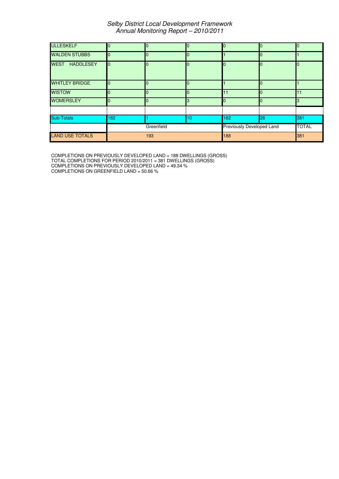| <b>ULLESKELF</b>                | n              | $\Omega$       |                  | n                         | $\Omega$ |              |
|---------------------------------|----------------|----------------|------------------|---------------------------|----------|--------------|
| <b>WALDEN STUBBS</b>            |                | $\Omega$       |                  |                           | ŋ        |              |
| <b>WEST</b><br><b>HADDLESEY</b> | $\overline{0}$ | $\Omega$       | <sup>0</sup>     | n.                        | l0       | Ю            |
| <b>WHITLEY BRIDGE</b>           | n              | $\Omega$       |                  |                           |          |              |
| <b>WISTOW</b>                   |                | $\Omega$       |                  | 11                        |          | 11           |
| <b>WOMERSLEY</b>                |                | $\overline{0}$ | 3                | <sup>0</sup>              | $\Omega$ | ß            |
|                                 |                |                |                  |                           |          |              |
| Sub-Totals                      | 182            |                | 10 <sup>10</sup> | 162                       | 26       | 381          |
|                                 |                | Greenfield     |                  | Previously Developed Land |          | <b>TOTAL</b> |
| <b>LAND USE TOTALS</b>          |                | 193            |                  | 188                       |          | 381          |

COMPLETIONS ON PREVIOUSLY DEVELOPED LAND = 188 DWELLINGS (GROSS) TOTAL COMPLETIONS FOR PERIOD 2010/2011 = 381 DWELLINGS (GROSS) COMPLETIONS ON PREVIOUSLY DEVELOPED LAND = 49.34 % COMPLETIONS ON GREENFIELD LAND = 50.66 %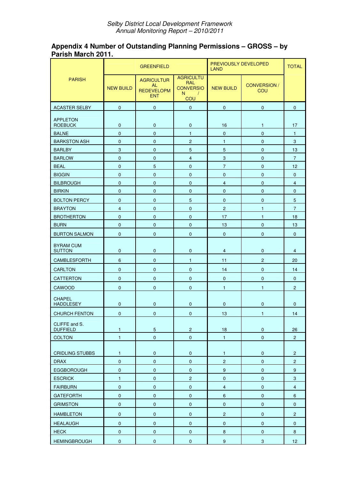### **Appendix 4 Number of Outstanding Planning Permissions – GROSS – by Parish March 2011.**

|                                   | <b>GREENFIELD</b> |                                                            | PREVIOUSLY DEVELOPED<br><b>LAND</b>                                           | <b>TOTAL</b>              |                     |                 |
|-----------------------------------|-------------------|------------------------------------------------------------|-------------------------------------------------------------------------------|---------------------------|---------------------|-----------------|
| <b>PARISH</b>                     | <b>NEW BUILD</b>  | <b>AGRICULTUR</b><br>AL<br><b>REDEVELOPM</b><br><b>ENT</b> | <b>AGRICULTU</b><br><b>RAL</b><br><b>CONVERSIO</b><br>N.<br>$\sqrt{ }$<br>COU | <b>NEW BUILD</b>          | CONVERSION /<br>COU |                 |
| <b>ACASTER SELBY</b>              | $\pmb{0}$         | $\mathbf 0$                                                | $\mathbf 0$                                                                   | $\mathbf{0}$              | $\mathbf 0$         | $\overline{0}$  |
| <b>APPLETON</b>                   |                   |                                                            |                                                                               |                           |                     |                 |
| <b>ROEBUCK</b>                    | $\mathbf 0$       | $\mathbf 0$                                                | 0                                                                             | 16                        | $\mathbf{1}$        | 17              |
| <b>BALNE</b>                      | $\pmb{0}$         | $\pmb{0}$                                                  | $\mathbf{1}$                                                                  | $\mathbf{0}$              | $\pmb{0}$           | $\mathbf{1}$    |
| <b>BARKSTON ASH</b>               | $\mathbf 0$       | $\mathbf 0$                                                | $\overline{2}$                                                                | $\mathbf{1}$              | $\mathbf 0$         | 3               |
| <b>BARLBY</b>                     | 3                 | $\mathbf 0$                                                | 5                                                                             | $\overline{5}$            | $\pmb{0}$           | 13              |
| <b>BARLOW</b>                     | $\pmb{0}$         | $\pmb{0}$                                                  | $\overline{4}$                                                                | $\ensuremath{\mathsf{3}}$ | $\mathbf 0$         | $\overline{7}$  |
| <b>BEAL</b>                       | $\mathbf{0}$      | 5                                                          | $\mathbf{0}$                                                                  | $\overline{7}$            | $\mathbf{0}$        | 12              |
| <b>BIGGIN</b>                     | $\pmb{0}$         | $\mathbf 0$                                                | $\mathbf 0$                                                                   | $\mathbf 0$               | $\pmb{0}$           | $\mathbf 0$     |
| <b>BILBROUGH</b>                  | $\pmb{0}$         | $\pmb{0}$                                                  | $\pmb{0}$                                                                     | $\overline{4}$            | $\pmb{0}$           | $\overline{4}$  |
| <b>BIRKIN</b>                     | $\mathbf{0}$      | $\mathbf 0$                                                | $\mathbf{0}$                                                                  | $\mathbf{0}$              | $\overline{0}$      | $\overline{0}$  |
| <b>BOLTON PERCY</b>               | $\pmb{0}$         | $\mathbf 0$                                                | 5                                                                             | $\mathbf 0$               | $\mathbf 0$         | 5               |
| <b>BRAYTON</b>                    | $\overline{4}$    | $\pmb{0}$                                                  | $\mathbf 0$                                                                   | $\overline{c}$            | $\mathbf{1}$        | $\overline{7}$  |
| <b>BROTHERTON</b>                 | $\mathbf 0$       | $\mathbf 0$                                                | $\mathbf{0}$                                                                  | 17                        | $\mathbf{1}$        | 18              |
| <b>BURN</b>                       | $\pmb{0}$         | $\pmb{0}$                                                  | $\mathbf{0}$                                                                  | 13                        | $\pmb{0}$           | 13              |
| <b>BURTON SALMON</b>              | $\mathbf 0$       | $\mathbf 0$                                                | $\mathbf 0$                                                                   | $\mathbf 0$               | 0                   | $\overline{0}$  |
| <b>BYRAM CUM</b><br><b>SUTTON</b> | $\mathbf 0$       | $\mathbf 0$                                                | 0                                                                             | $\overline{4}$            | $\mathbf 0$         | $\overline{4}$  |
| CAMBLESFORTH                      | 6                 | $\pmb{0}$                                                  | 1                                                                             | 11                        | $\overline{c}$      | 20              |
| <b>CARLTON</b>                    | $\mathbf{0}$      | $\mathbf 0$                                                | $\mathbf{0}$                                                                  | 14                        | $\mathbf{0}$        | 14              |
| <b>CATTERTON</b>                  | $\mathbf 0$       | $\mathbf 0$                                                | $\mathbf 0$                                                                   | $\mathbf 0$               | 0                   | $\mathbf{0}$    |
| CAWOOD                            | $\mathbf 0$       | $\pmb{0}$                                                  | 0                                                                             | 1                         | 1                   | $\overline{2}$  |
| <b>CHAPEL</b><br><b>HADDLESEY</b> | $\mathbf 0$       | $\mathbf 0$                                                | $\mathbf 0$                                                                   | $\mathbf{0}$              | 0                   | 0               |
| <b>CHURCH FENTON</b>              | $\pmb{0}$         | 0                                                          | 0                                                                             | 13                        | 1                   | 14              |
| CLIFFE and S.<br><b>DUFFIELD</b>  | $\mathbf{1}$      | $\sqrt{5}$                                                 | $\overline{2}$                                                                | 18                        | $\pmb{0}$           | 26              |
| <b>COLTON</b>                     | $\mathbf{1}$      | $\mathbf 0$                                                | $\mathbf 0$                                                                   | $\mathbf{1}$              | $\pmb{0}$           | 2 <sup>1</sup>  |
|                                   |                   |                                                            |                                                                               |                           |                     |                 |
| <b>CRIDLING STUBBS</b>            | $\mathbf{1}$      | $\pmb{0}$                                                  | $\pmb{0}$                                                                     | $\mathbf{1}$              | $\pmb{0}$           | $\overline{c}$  |
| <b>DRAX</b>                       | $\pmb{0}$         | $\pmb{0}$                                                  | $\pmb{0}$                                                                     | $\overline{c}$            | $\pmb{0}$           | $2^{\circ}$     |
| <b>EGGBOROUGH</b>                 | $\pmb{0}$         | $\pmb{0}$                                                  | $\pmb{0}$                                                                     | $\boldsymbol{9}$          | $\pmb{0}$           | 9               |
| <b>ESCRICK</b>                    | $\mathbf{1}$      | $\pmb{0}$                                                  | $\overline{c}$                                                                | $\pmb{0}$                 | $\pmb{0}$           | 3               |
| <b>FAIRBURN</b>                   | $\pmb{0}$         | $\pmb{0}$                                                  | $\pmb{0}$                                                                     | $\overline{4}$            | $\pmb{0}$           | $\overline{4}$  |
| <b>GATEFORTH</b>                  | $\pmb{0}$         | $\pmb{0}$                                                  | $\mathbf 0$                                                                   | $\boldsymbol{6}$          | $\pmb{0}$           | 6               |
| <b>GRIMSTON</b>                   | $\pmb{0}$         | $\pmb{0}$                                                  | $\pmb{0}$                                                                     | $\pmb{0}$                 | $\pmb{0}$           | $\mathbf{0}$    |
| <b>HAMBLETON</b>                  | $\pmb{0}$         | $\pmb{0}$                                                  | $\pmb{0}$                                                                     | $\overline{2}$            | $\pmb{0}$           | $2^{\circ}$     |
| <b>HEALAUGH</b>                   | $\pmb{0}$         | $\pmb{0}$                                                  | $\pmb{0}$                                                                     | $\mathbf 0$               | $\pmb{0}$           | $\pmb{0}$       |
| <b>HECK</b>                       | $\pmb{0}$         | $\pmb{0}$                                                  | $\pmb{0}$                                                                     | $\bf 8$                   | $\pmb{0}$           | 8               |
| <b>HEMINGBROUGH</b>               | $\pmb{0}$         | $\pmb{0}$                                                  | $\pmb{0}$                                                                     | 9                         | $\mathbf{3}$        | 12 <sub>2</sub> |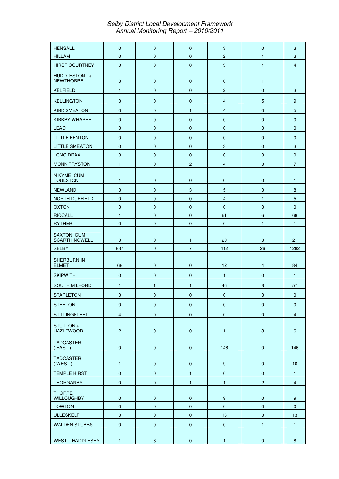| <b>HENSALL</b>                          | $\mathbf 0$               | $\mathbf 0$            | $\mathbf{0}$              | $\sqrt{3}$              | $\mathbf 0$               | 3                |
|-----------------------------------------|---------------------------|------------------------|---------------------------|-------------------------|---------------------------|------------------|
| <b>HILLAM</b>                           | $\mathbf 0$               | $\pmb{0}$              | $\mathbf 0$               | $\overline{c}$          | $\mathbf{1}$              | $\sqrt{3}$       |
| <b>HIRST COURTNEY</b>                   | $\pmb{0}$                 | $\mathbf 0$            | $\mathbf 0$               | $\sqrt{3}$              | $\mathbf{1}$              | $\overline{4}$   |
| HUDDLESTON +<br><b>NEWTHORPE</b>        | $\pmb{0}$                 | $\pmb{0}$              | $\mathbf 0$               | $\mathbf 0$             | $\mathbf{1}$              | $\mathbf{1}$     |
| <b>KELFIELD</b>                         | $\mathbf{1}$              | $\mathbf 0$            | $\mathbf 0$               | $\overline{c}$          | $\pmb{0}$                 | 3                |
| <b>KELLINGTON</b>                       | $\pmb{0}$                 | $\pmb{0}$              | $\mathbf 0$               | $\overline{\mathbf{4}}$ | $\overline{5}$            | $\boldsymbol{9}$ |
| <b>KIRK SMEATON</b>                     | $\mathbf 0$               | $\mathbf 0$            | $\mathbf{1}$              | $\overline{4}$          | $\mathbf 0$               | 5                |
| <b>KIRKBY WHARFE</b>                    | $\mathbf 0$               | $\mathbf 0$            | $\mathbf{0}$              | $\mathbf 0$             | $\mathbf 0$               | $\mathbf{0}$     |
| <b>LEAD</b>                             | $\pmb{0}$                 | $\pmb{0}$              | $\mathbf 0$               | $\mathbf 0$             | $\pmb{0}$                 | $\mathbf 0$      |
| <b>LITTLE FENTON</b>                    | $\mathbf 0$               | $\mathbf 0$            | $\mathbf 0$               | $\mathbf 0$             | $\mathbf 0$               | $\mathbf{0}$     |
| <b>LITTLE SMEATON</b>                   | $\mathbf 0$               | $\mathbf 0$            | $\mathbf{0}$              | $\mathbf{3}$            | $\mathbf 0$               | 3                |
| <b>LONG DRAX</b>                        | $\pmb{0}$                 | $\pmb{0}$              | $\mathbf 0$               | $\mathbf 0$             | $\pmb{0}$                 | $\mathbf 0$      |
| <b>MONK FRYSTON</b>                     | $\mathbf{1}$              | $\pmb{0}$              | $\overline{c}$            | $\overline{4}$          | $\pmb{0}$                 | $\overline{7}$   |
| N KYME CUM<br><b>TOULSTON</b>           | $\mathbf{1}$              | $\pmb{0}$              | $\pmb{0}$                 | $\pmb{0}$               | $\pmb{0}$                 | $\mathbf{1}$     |
| <b>NEWLAND</b>                          | $\pmb{0}$                 | $\pmb{0}$              | $\ensuremath{\mathsf{3}}$ | $\sqrt{5}$              | $\pmb{0}$                 | $\bf 8$          |
| NORTH DUFFIELD                          | $\pmb{0}$                 | $\mathbf 0$            | $\pmb{0}$                 | $\overline{4}$          | $\mathbf{1}$              | $\overline{5}$   |
| <b>OXTON</b>                            | $\pmb{0}$                 | $\pmb{0}$              | $\mathbf 0$               | $\mathbf 0$             | $\pmb{0}$                 | $\mathbf 0$      |
| <b>RICCALL</b>                          | $\mathbf{1}$              | $\mathbf 0$            | $\pmb{0}$                 | 61                      | $\boldsymbol{6}$          | 68               |
| <b>RYTHER</b>                           | $\pmb{0}$                 | $\pmb{0}$              | $\pmb{0}$                 | $\mathbf 0$             | $\mathbf{1}$              | $\mathbf{1}$     |
| <b>SAXTON CUM</b><br>SCARTHINGWELL      | $\mathbf 0$               | $\pmb{0}$              | 1                         | 20                      | $\pmb{0}$                 | 21               |
|                                         |                           |                        |                           |                         |                           |                  |
| <b>SELBY</b>                            | 837                       | $\pmb{0}$              | $\overline{7}$            | 412                     | 26                        | 1282             |
| <b>SHERBURN IN</b><br><b>ELMET</b>      | 68                        | $\pmb{0}$              | $\mathbf 0$               | 12                      | $\overline{4}$            | 84               |
| <b>SKIPWITH</b>                         | $\pmb{0}$                 | $\mathbf 0$            | $\mathbf 0$               | $\mathbf{1}$            | $\pmb{0}$                 | $\mathbf{1}$     |
| <b>SOUTH MILFORD</b>                    | $\mathbf{1}$              | $\mathbf{1}$           | 1                         | 46                      | $\bf 8$                   | 57               |
| <b>STAPLETON</b>                        | $\mathbf 0$               | $\pmb{0}$              | $\mathbf 0$               | $\mathbf 0$             | $\mathbf 0$               | $\mathbf 0$      |
| <b>STEETON</b>                          | $\pmb{0}$                 | $\pmb{0}$              | $\pmb{0}$                 | $\mathbf 0$             | $\pmb{0}$                 | $\mathbf{0}$     |
|                                         |                           |                        |                           |                         |                           | $\overline{4}$   |
| <b>STILLINGFLEET</b><br>STUTTON+        | $\overline{\mathbf{4}}$   | $\pmb{0}$              | $\pmb{0}$                 | $\pmb{0}$               | $\pmb{0}$                 |                  |
| <b>HAZLEWOOD</b><br><b>TADCASTER</b>    | $\mathbf 2$               | $\pmb{0}$              | $\pmb{0}$                 | $\mathbf{1}$            | $\ensuremath{\mathsf{3}}$ | $\boldsymbol{6}$ |
| $($ EAST)<br><b>TADCASTER</b><br>(WEST) | $\pmb{0}$<br>$\mathbf{1}$ | $\pmb{0}$<br>$\pmb{0}$ | $\pmb{0}$<br>$\pmb{0}$    | 146<br>$\boldsymbol{9}$ | $\pmb{0}$<br>$\pmb{0}$    | 146<br>10        |
|                                         |                           |                        |                           |                         |                           |                  |
| <b>TEMPLE HIRST</b>                     | $\pmb{0}$                 | $\pmb{0}$              | $\mathbf{1}$              | $\pmb{0}$               | $\pmb{0}$                 | $\mathbf{1}$     |
| <b>THORGANBY</b><br><b>THORPE</b>       | $\pmb{0}$                 | $\pmb{0}$              | $\mathbf{1}$              | $\mathbf{1}$            | $\overline{c}$            | $\overline{4}$   |
| <b>WILLOUGHBY</b>                       | $\pmb{0}$                 | $\pmb{0}$              | $\pmb{0}$                 | $\boldsymbol{9}$        | $\pmb{0}$                 | $9\,$            |
| <b>TOWTON</b>                           | $\pmb{0}$                 | $\pmb{0}$              | $\mathbf 0$               | $\pmb{0}$               | $\pmb{0}$                 | $\pmb{0}$        |
| <b>ULLESKELF</b>                        | $\pmb{0}$                 | $\pmb{0}$              | $\pmb{0}$                 | 13                      | $\pmb{0}$                 | 13               |
| <b>WALDEN STUBBS</b>                    | $\pmb{0}$                 | $\pmb{0}$              | $\pmb{0}$                 | $\pmb{0}$               | $\mathbf{1}$              | $\mathbf{1}$     |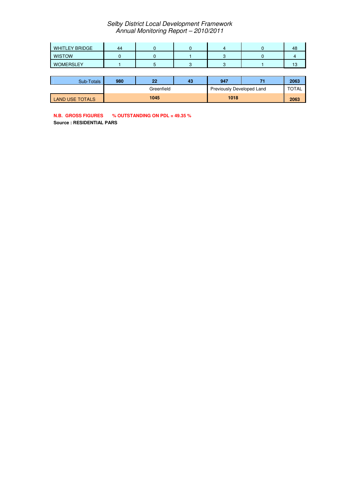| <b>WHITLEY BRIDGE</b> | 44 |  |  | 48          |
|-----------------------|----|--|--|-------------|
| <b>WISTOW</b>         |    |  |  |             |
| <b>WOMERSLEY</b>      |    |  |  | ה ו-<br>כ ו |

| Sub-Totals             | 980 | 22         | 43 | 947  |                           | 2063 |
|------------------------|-----|------------|----|------|---------------------------|------|
|                        |     | Greenfield |    |      | Previously Developed Land |      |
| <b>LAND USE TOTALS</b> |     | 1045       |    | 1018 |                           | 2063 |

**N.B. GROSS FIGURES % OUTSTANDING ON PDL = 49.35 %**

**Source : RESIDENTIAL PARS**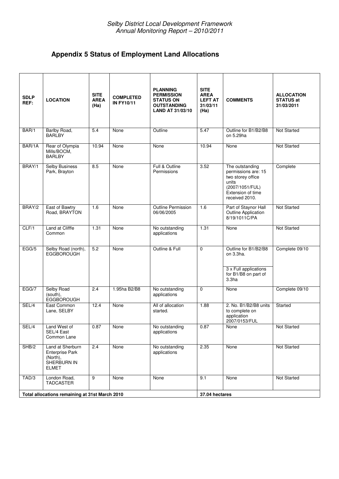# **Appendix 5 Status of Employment Land Allocations**

| <b>SDLP</b><br>REF: | <b>LOCATION</b>                                                                       | <b>SITE</b><br><b>AREA</b><br>(Ha) | <b>COMPLETED</b><br><b>IN FY10/11</b> | <b>PLANNING</b><br><b>PERMISSION</b><br><b>STATUS ON</b><br><b>OUTSTANDING</b><br><b>LAND AT 31/03/10</b> | <b>SITE</b><br><b>AREA</b><br><b>LEFT AT</b><br>31/03/11<br>(Ha) | <b>COMMENTS</b>                                                                                                                | <b>ALLOCATION</b><br><b>STATUS at</b><br>31/03/2011 |
|---------------------|---------------------------------------------------------------------------------------|------------------------------------|---------------------------------------|-----------------------------------------------------------------------------------------------------------|------------------------------------------------------------------|--------------------------------------------------------------------------------------------------------------------------------|-----------------------------------------------------|
| BAR/1               | Barlby Road,<br><b>BARLBY</b>                                                         | 5.4                                | None                                  | Outline                                                                                                   | 5.47                                                             | Outline for B1/B2/B8<br>on 5.29ha                                                                                              | <b>Not Started</b>                                  |
| BAR/1A              | Rear of Olympia<br>Mills/BOCM,<br><b>BARLBY</b>                                       | 10.94                              | None                                  | None                                                                                                      | 10.94                                                            | None                                                                                                                           | Not Started                                         |
| BRAY/1              | <b>Selby Business</b><br>Park, Brayton                                                | 8.5                                | None                                  | Full & Outline<br>Permissions                                                                             | 3.52                                                             | The outstanding<br>permissions are: 15<br>two storey office<br>units<br>(2007/1051/FUL)<br>Extension of time<br>received 2010. | Complete                                            |
| BRAY/2              | East of Bawtry<br>Road, BRAYTON                                                       | 1.6                                | None                                  | <b>Outline Permission</b><br>06/06/2005                                                                   | 1.6                                                              | Part of Staynor Hall<br>Outline Application<br>8/19/1011C/PA                                                                   | <b>Not Started</b>                                  |
| CLF/1               | Land at Clifffe<br>Common                                                             | 1.31                               | None                                  | No outstanding<br>applications                                                                            | 1.31                                                             | None                                                                                                                           | Not Started                                         |
| EGG/5               | Selby Road (north),<br><b>EGGBOROUGH</b>                                              | $\overline{5.2}$                   | None                                  | Outline & Full                                                                                            | $\mathbf 0$                                                      | Outline for B1/B2/B8<br>on 3.3ha.<br>3 x Full applications<br>for B1/B8 on part of<br>3.3 <sub>ha</sub>                        | Complete 09/10                                      |
| EGG/7               | <b>Selby Road</b><br>(south),<br><b>EGGBOROUGH</b>                                    | 2.4                                | 1.95ha B2/B8                          | No outstanding<br>applications                                                                            | $\mathbf 0$                                                      | None                                                                                                                           | Complete 09/10                                      |
| SEL/4               | East Common<br>Lane, SELBY                                                            | 12.4                               | None                                  | All of allocation<br>started.                                                                             | 1.88                                                             | 2. No. B1/B2/B8 units<br>to complete on<br>application<br>2007/0153/FUL                                                        | Started                                             |
| SEL/4               | Land West of<br>SEL/4 East<br>Common Lane                                             | 0.87                               | None                                  | No outstanding<br>applications                                                                            | 0.87                                                             | None                                                                                                                           | Not Started                                         |
| SHB/2               | Land at Sherburn<br><b>Enterprise Park</b><br>(North),<br>SHERBURN IN<br><b>ELMET</b> | 2.4                                | None                                  | No outstanding<br>applications                                                                            | 2.35                                                             | None                                                                                                                           | Not Started                                         |
| TAD/3               | London Road,<br><b>TADCASTER</b>                                                      | 9                                  | None                                  | None                                                                                                      | 9.1                                                              | None                                                                                                                           | Not Started                                         |
|                     | Total allocations remaining at 31st March 2010                                        |                                    |                                       |                                                                                                           | 37.04 hectares                                                   |                                                                                                                                |                                                     |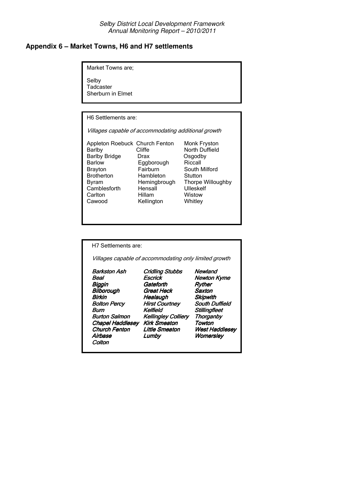#### **Appendix 6 – Market Towns, H6 and H7 settlements**

Market Towns are;

Selby Tadcaster Sherburn in Elmet

H6 Settlements are:

Villages capable of accommodating additional growth

Appleton Roebuck Church Fenton Barlby Cliffe North Duffield Barlby Bridge Drax **Carlby Bridge** Barlow<br>Barlow **Eggborough** Riccall Barlow Eggborough<br>Bravton Fairburn Brayton Fairburn South Milford<br>Brotherton Hambleton Stutton Brotherton Hambleton<br>Byram Hemingbrough Byram Hemingbrough Thorpe Willoughby Camblesforth Hensall Carlton Hillam Cawood Kellington Whitley

Monk Fryston Osgodby ) Wistow

H7 Settlements are: Villages capable of accommodating only limited growth Barkston As **Cridling Stubbs**<br>Escrick **Newland Beal Newton Kyme** ! ,   !  ,  \$ **Healaugh<br>Hirst Courtney Bolton Percy** South Duffield Burn Kelfield Stillingfleet<br>Burton Salmon Kellingley Colliery Thorganby **Kellingley Colliery Thorgar<br>Kirk Smeaton Towton** Chapel Haddlesey Kirk Smeaton Towton Church Fenton Little Smeaton t Haddlese Airbase e Lumby Womersle Colton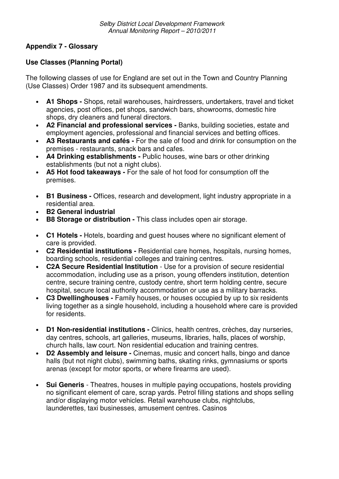# **Appendix 7 - Glossary**

# **Use Classes (Planning Portal)**

The following classes of use for England are set out in the Town and Country Planning (Use Classes) Order 1987 and its subsequent amendments.

- **A1 Shops -** Shops, retail warehouses, hairdressers, undertakers, travel and ticket agencies, post offices, pet shops, sandwich bars, showrooms, domestic hire shops, dry cleaners and funeral directors.
- **A2 Financial and professional services -** Banks, building societies, estate and employment agencies, professional and financial services and betting offices.
- **A3 Restaurants and cafés -** For the sale of food and drink for consumption on the premises - restaurants, snack bars and cafes.
- **A4 Drinking establishments -** Public houses, wine bars or other drinking establishments (but not a night clubs).
- **A5 Hot food takeaways -** For the sale of hot food for consumption off the premises.
- **B1 Business -** Offices, research and development, light industry appropriate in a residential area.
- **B2 General industrial**
- **B8 Storage or distribution -** This class includes open air storage.
- **C1 Hotels -** Hotels, boarding and guest houses where no significant element of care is provided.
- **C2 Residential institutions -** Residential care homes, hospitals, nursing homes, boarding schools, residential colleges and training centres.
- **C2A Secure Residential Institution** Use for a provision of secure residential accommodation, including use as a prison, young offenders institution, detention centre, secure training centre, custody centre, short term holding centre, secure hospital, secure local authority accommodation or use as a military barracks.
- **C3 Dwellinghouses -** Family houses, or houses occupied by up to six residents living together as a single household, including a household where care is provided for residents.
- **D1 Non-residential institutions -** Clinics, health centres, crèches, day nurseries, day centres, schools, art galleries, museums, libraries, halls, places of worship, church halls, law court. Non residential education and training centres.
- **D2 Assembly and leisure -** Cinemas, music and concert halls, bingo and dance halls (but not night clubs), swimming baths, skating rinks, gymnasiums or sports arenas (except for motor sports, or where firearms are used).
- **Sui Generis** Theatres, houses in multiple paying occupations, hostels providing no significant element of care, scrap yards. Petrol filling stations and shops selling and/or displaying motor vehicles. Retail warehouse clubs, nightclubs, launderettes, taxi businesses, amusement centres. Casinos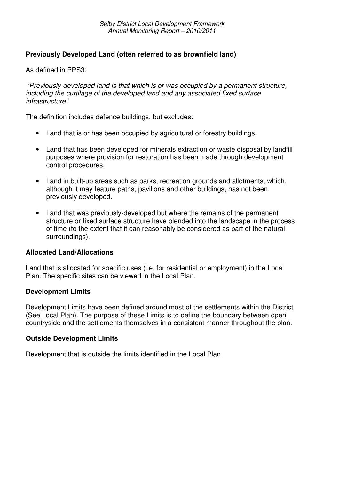## **Previously Developed Land (often referred to as brownfield land)**

As defined in PPS3;

'*Previously-developed land is that which is or was occupied by a permanent structure, including the curtilage of the developed land and any associated fixed surface infrastructure*.'

The definition includes defence buildings, but excludes:

- Land that is or has been occupied by agricultural or forestry buildings.
- Land that has been developed for minerals extraction or waste disposal by landfill purposes where provision for restoration has been made through development control procedures.
- Land in built-up areas such as parks, recreation grounds and allotments, which, although it may feature paths, pavilions and other buildings, has not been previously developed.
- Land that was previously-developed but where the remains of the permanent structure or fixed surface structure have blended into the landscape in the process of time (to the extent that it can reasonably be considered as part of the natural surroundings).

#### **Allocated Land/Allocations**

Land that is allocated for specific uses (i.e. for residential or employment) in the Local Plan. The specific sites can be viewed in the Local Plan.

#### **Development Limits**

Development Limits have been defined around most of the settlements within the District (See Local Plan). The purpose of these Limits is to define the boundary between open countryside and the settlements themselves in a consistent manner throughout the plan.

#### **Outside Development Limits**

Development that is outside the limits identified in the Local Plan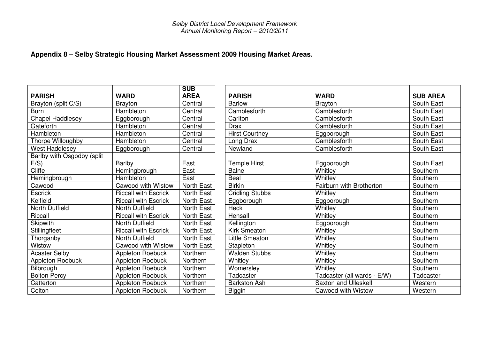## **Appendix 8 – Selby Strategic Housing Market Assessment 2009 Housing Market Areas.**

|                            |                             | <b>SUB</b>        |
|----------------------------|-----------------------------|-------------------|
| <b>PARISH</b>              | <b>WARD</b>                 | <b>AREA</b>       |
| Brayton (split C/S)        | <b>Brayton</b>              | Central           |
| <b>Burn</b>                | Hambleton                   | Central           |
| <b>Chapel Haddlesey</b>    | Eggborough                  | Central           |
| Gateforth                  | Hambleton                   | Central           |
| Hambleton                  | Hambleton                   | Central           |
| Thorpe Willoughby          | Hambleton                   | Central           |
| West Haddlesey             | Eggborough                  | Central           |
| Barlby with Osgodby (split |                             |                   |
| E/S)                       | <b>Barlby</b>               | East              |
| Cliffe                     | Hemingbrough                | East              |
| Hemingbrough               | Hambleton                   | East              |
| Cawood                     | <b>Cawood with Wistow</b>   | <b>North East</b> |
| <b>Escrick</b>             | <b>Riccall with Escrick</b> | North East        |
| Kelfield                   | <b>Riccall with Escrick</b> | North East        |
| North Duffield             | <b>North Duffield</b>       | <b>North East</b> |
| Riccall                    | <b>Riccall with Escrick</b> | North East        |
| Skipwith                   | North Duffield              | North East        |
| Stillingfleet              | <b>Riccall with Escrick</b> | North East        |
| Thorganby                  | <b>North Duffield</b>       | North East        |
| Wistow                     | <b>Cawood with Wistow</b>   | North East        |
| <b>Acaster Selby</b>       | <b>Appleton Roebuck</b>     | Northern          |
| Appleton Roebuck           | Appleton Roebuck            | Northern          |
| Bilbrough                  | Appleton Roebuck            | Northern          |
| <b>Bolton Percy</b>        | Appleton Roebuck            | Northern          |
| Catterton                  | Appleton Roebuck            | Northern          |
| Colton                     | <b>Appleton Roebuck</b>     | Northern          |

|                            |                             | <b>SUB</b>  |                        |                             |                 |
|----------------------------|-----------------------------|-------------|------------------------|-----------------------------|-----------------|
| <b>PARISH</b>              | <b>WARD</b>                 | <b>AREA</b> | <b>PARISH</b>          | <b>WARD</b>                 | <b>SUB AREA</b> |
| Brayton (split C/S)        | <b>Brayton</b>              | Central     | <b>Barlow</b>          | <b>Brayton</b>              | South East      |
| Burn                       | Hambleton                   | Central     | Camblesforth           | Camblesforth                | South East      |
| <b>Chapel Haddlesey</b>    | Eggborough                  | Central     | Carlton                | Camblesforth                | South East      |
| Gateforth                  | Hambleton                   | Central     | <b>Drax</b>            | Camblesforth                | South East      |
| Hambleton                  | Hambleton                   | Central     | <b>Hirst Courtney</b>  | Eggborough                  | South East      |
| Thorpe Willoughby          | Hambleton                   | Central     | Long Drax              | Camblesforth                | South East      |
| West Haddlesey             | Eggborough                  | Central     | Newland                | Camblesforth                | South East      |
| Barlby with Osgodby (split |                             |             |                        |                             |                 |
| E/S)                       | Barlby                      | East        | <b>Temple Hirst</b>    | Eggborough                  | South East      |
| <b>Cliffe</b>              | Hemingbrough                | East        | <b>Balne</b>           | Whitley                     | Southern        |
| Hemingbrough               | Hambleton                   | East        | Beal                   | Whitley                     | Southern        |
| Cawood                     | Cawood with Wistow          | North East  | <b>Birkin</b>          | Fairburn with Brotherton    | Southern        |
| <b>Escrick</b>             | <b>Riccall with Escrick</b> | North East  | <b>Cridling Stubbs</b> | Whitley                     | Southern        |
| Kelfield                   | <b>Riccall with Escrick</b> | North East  | Eggborough             | Eggborough                  | Southern        |
| North Duffield             | North Duffield              | North East  | <b>Heck</b>            | Whitley                     | Southern        |
| Riccall                    | <b>Riccall with Escrick</b> | North East  | Hensall                | Whitley                     | Southern        |
| <b>Skipwith</b>            | North Duffield              | North East  | Kellington             | Eggborough                  | Southern        |
| <b>Stillingfleet</b>       | <b>Riccall with Escrick</b> | North East  | Kirk Smeaton           | Whitley                     | Southern        |
| Thorganby                  | North Duffield              | North East  | <b>Little Smeaton</b>  | Whitley                     | Southern        |
| Wistow                     | Cawood with Wistow          | North East  | Stapleton              | Whitley                     | Southern        |
| <b>Acaster Selby</b>       | <b>Appleton Roebuck</b>     | Northern    | <b>Walden Stubbs</b>   | Whitley                     | Southern        |
| <b>Appleton Roebuck</b>    | <b>Appleton Roebuck</b>     | Northern    | Whitley                | Whitley                     | Southern        |
| Bilbrough                  | Appleton Roebuck            | Northern    | Womersley              | Whitley                     | Southern        |
| <b>Bolton Percy</b>        | <b>Appleton Roebuck</b>     | Northern    | Tadcaster              | Tadcaster (all wards - E/W) | Tadcaster       |
| Catterton                  | Appleton Roebuck            | Northern    | <b>Barkston Ash</b>    | <b>Saxton and Ulleskelf</b> | Western         |
| Colton                     | <b>Appleton Roebuck</b>     | Northern    | <b>Biggin</b>          | Cawood with Wistow          | Western         |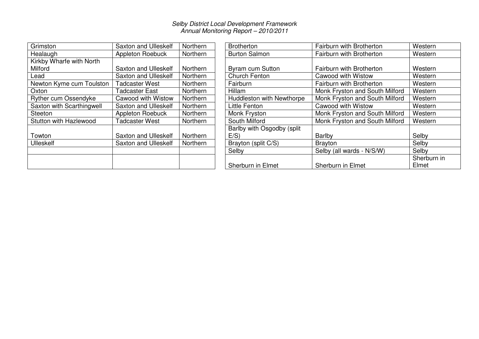| Grimston                  | <b>Saxton and Ulleskelf</b> | Northern | <b>Brotherton</b>          | Fairburn with Brother        |
|---------------------------|-----------------------------|----------|----------------------------|------------------------------|
| Healaugh                  | Appleton Roebuck            | Northern | <b>Burton Salmon</b>       | Fairburn with Brother        |
| Kirkby Wharfe with North  |                             |          |                            |                              |
| Milford                   | <b>Saxton and Ulleskelf</b> | Northern | Byram cum Sutton           | <b>Fairburn with Brother</b> |
| Lead                      | <b>Saxton and Ulleskelf</b> | Northern | Church Fenton              | Cawood with Wistow           |
| Newton Kyme cum Toulston  | <b>Tadcaster West</b>       | Northern | Fairburn                   | <b>Fairburn with Brother</b> |
| Oxton                     | Tadcaster East              | Northern | Hillam                     | Monk Fryston and So          |
| Ryther cum Ossendyke      | Cawood with Wistow          | Northern | Huddleston with Newthorpe  | Monk Fryston and So          |
| Saxton with Scarthingwell | <b>Saxton and Ulleskelf</b> | Northern | Little Fenton              | Cawood with Wistow           |
| Steeton                   | Appleton Roebuck            | Northern | Monk Fryston               | Monk Fryston and So          |
| Stutton with Hazlewood    | <b>Tadcaster West</b>       | Northern | South Milford              | Monk Fryston and So          |
|                           |                             |          | Barlby with Osgodby (split |                              |
| Towton                    | <b>Saxton and Ulleskelf</b> | Northern | $E/S$ )                    | Barlby                       |
| <b>Ulleskelf</b>          | Saxton and Ulleskelf        | Northern | Brayton (split C/S)        | <b>Brayton</b>               |
|                           |                             |          | Selby                      | Selby (all wards - N/S       |
|                           |                             |          | Sherburn in Elmet          | Sherburn in Elmet            |

| Grimston                  | <b>Saxton and Ulleskelf</b> | Northern        | <b>Brotherton</b>          | Fairburn with Brotherton       | Western     |
|---------------------------|-----------------------------|-----------------|----------------------------|--------------------------------|-------------|
| Healaugh                  | Appleton Roebuck            | Northern        | <b>Burton Salmon</b>       | Fairburn with Brotherton       | Western     |
| Kirkby Wharfe with North  |                             |                 |                            |                                |             |
| Milford                   | Saxton and Ulleskelf        | <b>Northern</b> | <b>Byram cum Sutton</b>    | Fairburn with Brotherton       | Western     |
| Lead                      | Saxton and Ulleskelf        | Northern        | Church Fenton              | Cawood with Wistow             | Western     |
| Newton Kyme cum Toulston  | <b>Tadcaster West</b>       | Northern        | Fairburn                   | Fairburn with Brotherton       | Western     |
| Oxton                     | Tadcaster East              | Northern        | Hillam                     | Monk Fryston and South Milford | Western     |
| Ryther cum Ossendyke      | <b>Cawood with Wistow</b>   | Northern        | Huddleston with Newthorpe  | Monk Fryston and South Milford | Western     |
| Saxton with Scarthingwell | <b>Saxton and Ulleskelf</b> | Northern        | Little Fenton              | Cawood with Wistow             | Western     |
| Steeton                   | Appleton Roebuck            | Northern        | Monk Fryston               | Monk Fryston and South Milford | Western     |
| Stutton with Hazlewood    | <b>Tadcaster West</b>       | Northern        | South Milford              | Monk Fryston and South Milford | Western     |
|                           |                             |                 | Barlby with Osgodby (split |                                |             |
| Towton                    | Saxton and Ulleskelf        | Northern        | E/S)                       | Barlby                         | Selby       |
| Ulleskelf                 | Saxton and Ulleskelf        | Northern        | Brayton (split C/S)        | Brayton                        | Selby       |
|                           |                             |                 | Selby                      | Selby (all wards - N/S/W)      | Selby       |
|                           |                             |                 |                            |                                | Sherburn in |
|                           |                             |                 | Sherburn in Elmet          | Sherburn in Elmet              | Elmet       |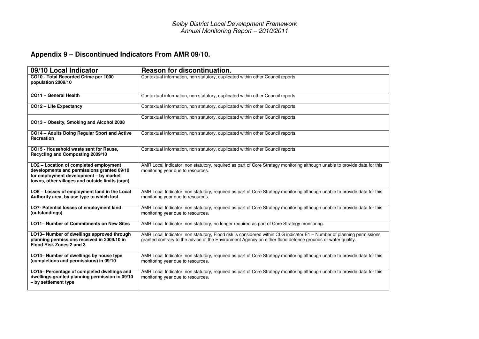# **Appendix 9 – Discontinued Indicators From AMR 09/10.**

| 09/10 Local Indicator                                                                                                                                                            | <b>Reason for discontinuation.</b>                                                                                                                                                                                                  |
|----------------------------------------------------------------------------------------------------------------------------------------------------------------------------------|-------------------------------------------------------------------------------------------------------------------------------------------------------------------------------------------------------------------------------------|
| CO10 - Total Recorded Crime per 1000<br>population 2009/10                                                                                                                       | Contextual information, non statutory, duplicated within other Council reports.                                                                                                                                                     |
| CO11 - General Health                                                                                                                                                            | Contextual information, non statutory, duplicated within other Council reports.                                                                                                                                                     |
| CO12 - Life Expectancy                                                                                                                                                           | Contextual information, non statutory, duplicated within other Council reports.                                                                                                                                                     |
| CO13 - Obesity, Smoking and Alcohol 2008                                                                                                                                         | Contextual information, non statutory, duplicated within other Council reports.                                                                                                                                                     |
| CO14 - Adults Doing Regular Sport and Active<br>Recreation                                                                                                                       | Contextual information, non statutory, duplicated within other Council reports.                                                                                                                                                     |
| CO15 - Household waste sent for Reuse,<br>Recycling and Composting 2009/10                                                                                                       | Contextual information, non statutory, duplicated within other Council reports.                                                                                                                                                     |
| LO2 - Location of completed employment<br>developments and permissions granted 09/10<br>for employment development - by market<br>towns, other villages and outside limits (sqm) | AMR Local Indicator, non statutory, required as part of Core Strategy monitoring although unable to provide data for this<br>monitoring year due to resources.                                                                      |
| LO6 - Losses of employment land in the Local<br>Authority area, by use type to which lost                                                                                        | AMR Local Indicator, non statutory, required as part of Core Strategy monitoring although unable to provide data for this<br>monitoring year due to resources.                                                                      |
| LO7- Potential losses of employment land<br>(outstandings)                                                                                                                       | AMR Local Indicator, non statutory, required as part of Core Strategy monitoring although unable to provide data for this<br>monitoring year due to resources.                                                                      |
| LO11- Number of Commitments on New Sites                                                                                                                                         | AMR Local Indicator, non statutory, no longer required as part of Core Strategy monitoring.                                                                                                                                         |
| LO13- Number of dwellings approved through<br>planning permissions received in 2009/10 in<br>Flood Risk Zones 2 and 3                                                            | AMR Local Indicator, non statutory, Flood risk is considered within CLG indicator E1 - Number of planning permissions<br>granted contrary to the advice of the Environment Agency on either flood defence grounds or water quality. |
| LO14- Number of dwellings by house type<br>(completions and permissions) in 09/10                                                                                                | AMR Local Indicator, non statutory, required as part of Core Strategy monitoring although unable to provide data for this<br>monitoring year due to resources.                                                                      |
| LO15- Percentage of completed dwellings and<br>dwellings granted planning permission in 09/10<br>- by settlement type                                                            | AMR Local Indicator, non statutory, required as part of Core Strategy monitoring although unable to provide data for this<br>monitoring year due to resources.                                                                      |